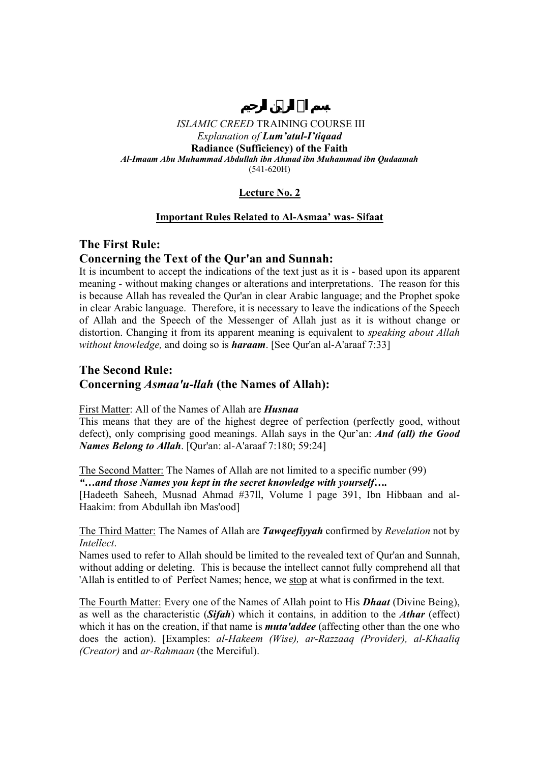# **Lecture No. 2**

## **Important Rules Related to Al-Asmaa' was- Sifaat**

# **The First Rule:**

# **Concerning the Text of the Qur'an and Sunnah:**

It is incumbent to accept the indications of the text just as it is - based upon its apparent meaning - without making changes or alterations and interpretations. The reason for this is because Allah has revealed the Qur'an in clear Arabic language; and the Prophet spoke in clear Arabic language. Therefore, it is necessary to leave the indications of the Speech of Allah and the Speech of the Messenger of Allah just as it is without change or distortion. Changing it from its apparent meaning is equivalent to *speaking about Allah without knowledge,* and doing so is *haraam*. [See Qur'an al-A'araaf 7:33]

# **The Second Rule: Concerning** *Asmaa'u-llah* **(the Names of Allah):**

## First Matter: All of the Names of Allah are *Husnaa*

This means that they are of the highest degree of perfection (perfectly good, without defect), only comprising good meanings. Allah says in the Qur'an: *And (all) the Good Names Belong to Allah*. [Qur'an: al-A'araaf 7:180; 59:24]

The Second Matter: The Names of Allah are not limited to a specific number (99)

*"…and those Names you kept in the secret knowledge with yourself….* 

[Hadeeth Saheeh, Musnad Ahmad #37ll, Volume l page 391, Ibn Hibbaan and al-Haakim: from Abdullah ibn Mas'ood]

## The Third Matter: The Names of Allah are *Tawqeefiyyah* confirmed by *Revelation* not by *Intellect*.

Names used to refer to Allah should be limited to the revealed text of Qur'an and Sunnah, without adding or deleting. This is because the intellect cannot fully comprehend all that 'Allah is entitled to of Perfect Names; hence, we stop at what is confirmed in the text.

The Fourth Matter: Every one of the Names of Allah point to His *Dhaat* (Divine Being), as well as the characteristic (*Sifah*) which it contains, in addition to the *Athar* (effect) which it has on the creation, if that name is *muta'addee* (affecting other than the one who does the action). [Examples: *al-Hakeem (Wise), ar-Razzaaq (Provider), al-Khaaliq (Creator)* and *ar-Rahmaan* (the Merciful).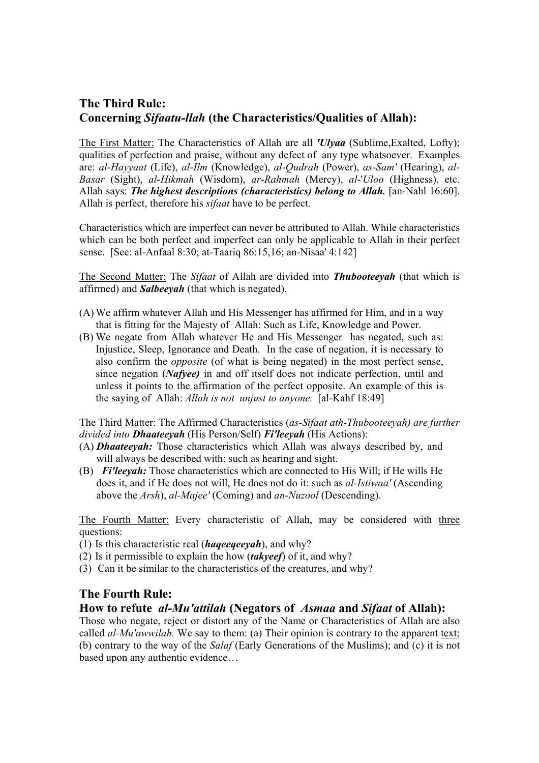# **The Third Rule: Concerning** *Sifaatu-llah* **(the Characteristics/Qualities of Allah):**

The First Matter: The Characteristics of Allah are all *'Ulyaa* (Sublime,Exalted, Lofty); qualities of perfection and praise, without any defect of any type whatsoever. Examples are: *al*-*Hayyaat* (Life), *al*-*Ilm* (Knowledge), *al*-*Qudrah* (Power), *as*-*Sam'* (Hearing), *al*-*Basar* (Sight), *al*-*Hikmah* (Wisdom), *ar*-*Rahmah* (Mercy), *al*-'*Uloo* (Highness), etc. Allah says: *The highest descriptions (characteristics) belong to Allah*. [an-Nahl 16:60]. Allah is perfect, therefore his *sifaat* have to be perfect.

Characteristics which are imperfect can never be attributed to Allah. While characteristics which can be both perfect and imperfect can only be applicable to Allah in their perfect sense. [See: al-Anfaal 8:30; at-Taariq 86:15,16; an-Nisaa' 4:142]

The Second Matter: The *Sifaat* of Allah are divided into *Thubooteeyah* (that which is affirmed) and *Salbeeyah* (that which is negated).

- (A) We affirm whatever Allah and His Messenger has affirmed for Him, and in a way that is fitting for the Majesty of Allah: Such as Life, Knowledge and Power.
- (B) We negate from Allah whatever He and His Messenger has negated, such as: Injustice, Sleep, Ignorance and Death. In the case of negation, it is necessary to also confirm the *opposite* (of what is being negated) in the most perfect sense, since negation (*Nafyee)* in and off itself does not indicate perfection, until and unless it points to the affirmation of the perfect opposite. An example of this is the saying of Allah: *Allah is not unjust to anyone.* [al-Kahf 18:49]

The Third Matter: The Affirmed Characteristics (*as-Sifaat ath-Thubooteeyah) are further divided into Dhaateeyah* (His Person/Self) *Fi'leeyah* (His Actions):

- (A) *Dhaateeyah:* Those characteristics which Allah was always described by, and will always be described with: such as hearing and sight.
- (B) *Fi'leeyah:* Those characteristics which are connected to His Will; if He wills He does it, and if He does not will, He does not do it: such as *al-Istiwaa'* (Ascending above the *Arsh*), *al-Majee'* (Coming) and *an*-*Nuzool* (Descending).

The Fourth Matter: Every characteristic of Allah, may be considered with three questions:

- (1) Is this characteristic real (*haqeeqeeyah*), and why?
- (2) Is it permissible to explain the how (*takyeef*) of it, and why?
- (3) Can it be similar to the characteristics of the creatures, and why?

# **The Fourth Rule:**

# **How to refute** *al-Mu'attilah* **(Negators of** *Asmaa* **and** *Sifaat* **of Allah):**

Those who negate, reject or distort any of the Name or Characteristics of Allah are also called *al-Mu'awwilah.* We say to them: (a) Their opinion is contrary to the apparent text; (b) contrary to the way of the *Salaf* (Early Generations of the Muslims); and (c) it is not based upon any authentic evidence…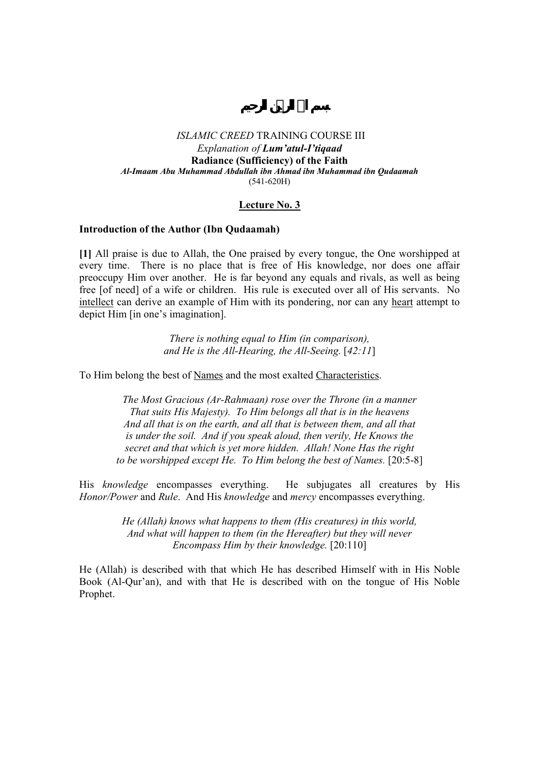## **Lecture No. 3**

### **Introduction of the Author (Ibn Qudaamah)**

**[1]** All praise is due to Allah, the One praised by every tongue, the One worshipped at every time. There is no place that is free of His knowledge, nor does one affair preoccupy Him over another. He is far beyond any equals and rivals, as well as being free [of need] of a wife or children. His rule is executed over all of His servants. No intellect can derive an example of Him with its pondering, nor can any heart attempt to depict Him [in one's imagination].

> *There is nothing equal to Him (in comparison), and He is the All-Hearing, the All-Seeing.* [*42:11*]

To Him belong the best of Names and the most exalted Characteristics.

*The Most Gracious (Ar-Rahmaan) rose over the Throne (in a manner That suits His Majesty). To Him belongs all that is in the heavens And all that is on the earth, and all that is between them, and all that is under the soil. And if you speak aloud, then verily, He Knows the secret and that which is yet more hidden. Allah! None Has the right to be worshipped except He. To Him belong the best of Names.* [20:5-8]

His *knowledge* encompasses everything. He subjugates all creatures by His *Honor/Power* and *Rule*. And His *knowledge* and *mercy* encompasses everything.

> *He (Allah) knows what happens to them (His creatures) in this world, And what will happen to them (in the Hereafter) but they will never Encompass Him by their knowledge.* [20:110]

He (Allah) is described with that which He has described Himself with in His Noble Book (Al-Qur'an), and with that He is described with on the tongue of His Noble Prophet.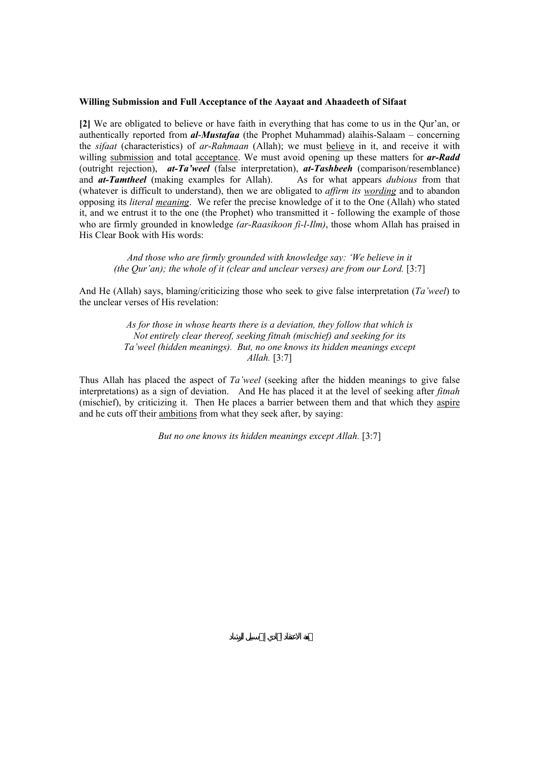#### **Willing Submission and Full Acceptance of the Aayaat and Ahaadeeth of Sifaat**

**[2]** We are obligated to believe or have faith in everything that has come to us in the Qur'an, or authentically reported from *al*-*Mustafaa* (the Prophet Muhammad) alaihis-Salaam – concerning the *sifaat* (characteristics) of *ar*-*Rahmaan* (Allah); we must believe in it, and receive it with willing submission and total acceptance. We must avoid opening up these matters for **ar-Radd** (outright rejection), *at-Ta'weel* (false interpretation), *at-Tashbeeh* (comparison/resemblance) and *at-Tamtheel* (making examples for Allah). As for what appears *dubious* from that (whatever is difficult to understand), then we are obligated to *affirm its wording* and to abandon opposing its *literal meaning*. We refer the precise knowledge of it to the One (Allah) who stated it, and we entrust it to the one (the Prophet) who transmitted it - following the example of those who are firmly grounded in knowledge *(ar-Raasikoon fi-l-Ilm)*, those whom Allah has praised in His Clear Book with His words:

*And those who are firmly grounded with knowledge say: 'We believe in it (the Qur'an); the whole of it (clear and unclear verses) are from our Lord.* [3:7]

And He (Allah) says, blaming/criticizing those who seek to give false interpretation (*Ta'weel*) to the unclear verses of His revelation:

> *As for those in whose hearts there is a deviation, they follow that which is Not entirely clear thereof, seeking fitnah (mischief) and seeking for its Ta'weel (hidden meanings). But, no one knows its hidden meanings except Allah.* [3:7]

Thus Allah has placed the aspect of *Ta'weel* (seeking after the hidden meanings to give false interpretations) as a sign of deviation. And He has placed it at the level of seeking after *fitnah*  (mischief), by criticizing it. Then He places a barrier between them and that which they aspire and he cuts off their ambitions from what they seek after, by saying:

*But no one knows its hidden meanings except Allah.* [3:7]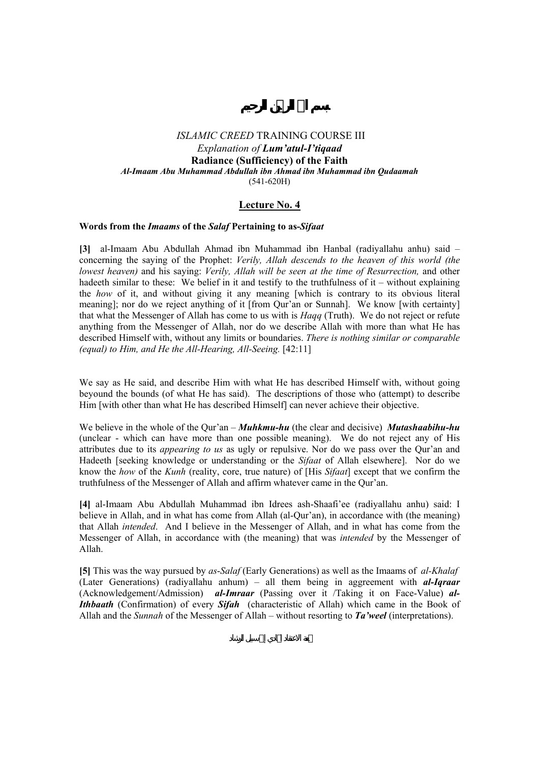## **Lecture No. 4**

### **Words from the** *Imaams* **of the** *Salaf* **Pertaining to as-***Sifaat*

**[3]** al-Imaam Abu Abdullah Ahmad ibn Muhammad ibn Hanbal (radiyallahu anhu) said – concerning the saying of the Prophet: *Verily, Allah descends to the heaven of this world (the lowest heaven)* and his saying: *Verily, Allah will be seen at the time of Resurrection,* and other hadeeth similar to these: We belief in it and testify to the truthfulness of it – without explaining the *how* of it, and without giving it any meaning [which is contrary to its obvious literal meaning]; nor do we reject anything of it [from Qur'an or Sunnah]. We know [with certainty] that what the Messenger of Allah has come to us with is *Haqq* (Truth). We do not reject or refute anything from the Messenger of Allah, nor do we describe Allah with more than what He has described Himself with, without any limits or boundaries. *There is nothing similar or comparable (equal) to Him, and He the All-Hearing, All-Seeing.* [42:11]

We say as He said, and describe Him with what He has described Himself with, without going beyound the bounds (of what He has said). The descriptions of those who (attempt) to describe Him [with other than what He has described Himself] can never achieve their objective.

We believe in the whole of the Qur'an – *Muhkmu-hu* (the clear and decisive) *Mutashaabihu-hu*  (unclear - which can have more than one possible meaning). We do not reject any of His attributes due to its *appearing to us* as ugly or repulsive. Nor do we pass over the Qur'an and Hadeeth [seeking knowledge or understanding or the *Sifaat* of Allah elsewhere]. Nor do we know the *how* of the *Kunh* (reality, core, true nature) of [His *Sifaat*] except that we confirm the truthfulness of the Messenger of Allah and affirm whatever came in the Qur'an.

**[4]** al-Imaam Abu Abdullah Muhammad ibn Idrees ash-Shaafi'ee (radiyallahu anhu) said: I believe in Allah, and in what has come from Allah (al-Qur'an), in accordance with (the meaning) that Allah *intended*. And I believe in the Messenger of Allah, and in what has come from the Messenger of Allah, in accordance with (the meaning) that was *intended* by the Messenger of Allah.

**[5]** This was the way pursued by *as*-*Salaf* (Early Generations) as well as the Imaams of *al-Khalaf* (Later Generations) (radiyallahu anhum) – all them being in aggreement with *al-Iqraar* (Acknowledgement/Admission) *al-Imraar* (Passing over it /Taking it on Face-Value) *al-Ithbaath* (Confirmation) of every *Sifah* (characteristic of Allah) which came in the Book of Allah and the *Sunnah* of the Messenger of Allah – without resorting to *Ta'weel* (interpretations).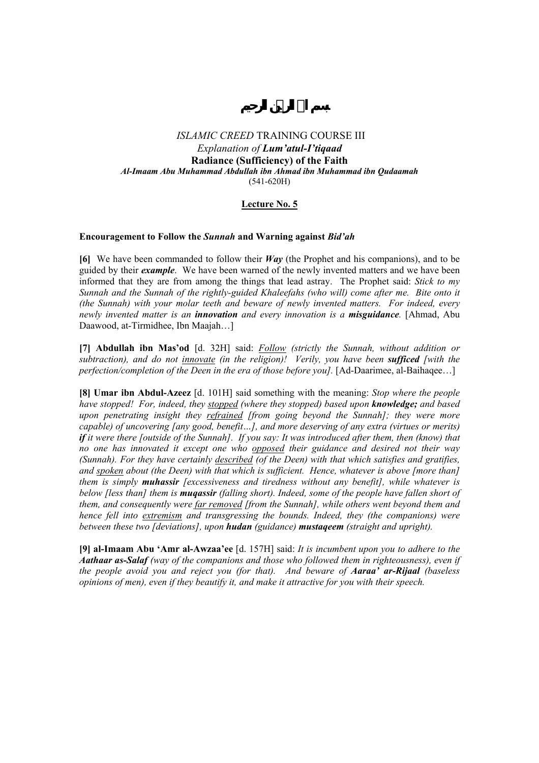## **Lecture No. 5**

#### **Encouragement to Follow the** *Sunnah* **and Warning against** *Bid'ah*

**[6]** We have been commanded to follow their *Way* (the Prophet and his companions), and to be guided by their *example*. We have been warned of the newly invented matters and we have been informed that they are from among the things that lead astray. The Prophet said: *Stick to my Sunnah and the Sunnah of the rightly-guided Khaleefahs (who will) come after me. Bite onto it (the Sunnah) with your molar teeth and beware of newly invented matters. For indeed, every newly invented matter is an innovation and every innovation is a misguidance.* [Ahmad, Abu Daawood, at-Tirmidhee, Ibn Maajah…]

**[7] Abdullah ibn Mas'od** [d. 32H] said: *Follow (strictly the Sunnah, without addition or subtraction), and do not innovate (in the religion)! Verily, you have been sufficed [with the perfection/completion of the Deen in the era of those before you].* [Ad-Daarimee, al-Baihaqee…]

**[8] Umar ibn Abdul-Azeez** [d. 101H] said something with the meaning: *Stop where the people have stopped! For, indeed, they stopped (where they stopped) based upon knowledge; and based upon penetrating insight they refrained [from going beyond the Sunnah]; they were more capable) of uncovering [any good, benefit…], and more deserving of any extra (virtues or merits) if it were there [outside of the Sunnah]. If you say: It was introduced after them, then (know) that no one has innovated it except one who opposed their guidance and desired not their way (Sunnah). For they have certainly described (of the Deen) with that which satisfies and gratifies, and spoken about (the Deen) with that which is sufficient. Hence, whatever is above [more than] them is simply muhassir [excessiveness and tiredness without any benefit], while whatever is below [less than] them is muqassir (falling short). Indeed, some of the people have fallen short of them, and consequently were far removed [from the Sunnah], while others went beyond them and hence fell into extremism and transgressing the bounds. Indeed, they (the companions) were between these two [deviations], upon hudan (guidance) mustaqeem (straight and upright).* 

**[9] al-Imaam Abu 'Amr al-Awzaa'ee** [d. 157H] said: *It is incumbent upon you to adhere to the Aathaar as-Salaf (way of the companions and those who followed them in righteousness), even if the people avoid you and reject you (for that). And beware of Aaraa' ar-Rijaal (baseless opinions of men), even if they beautify it, and make it attractive for you with their speech.*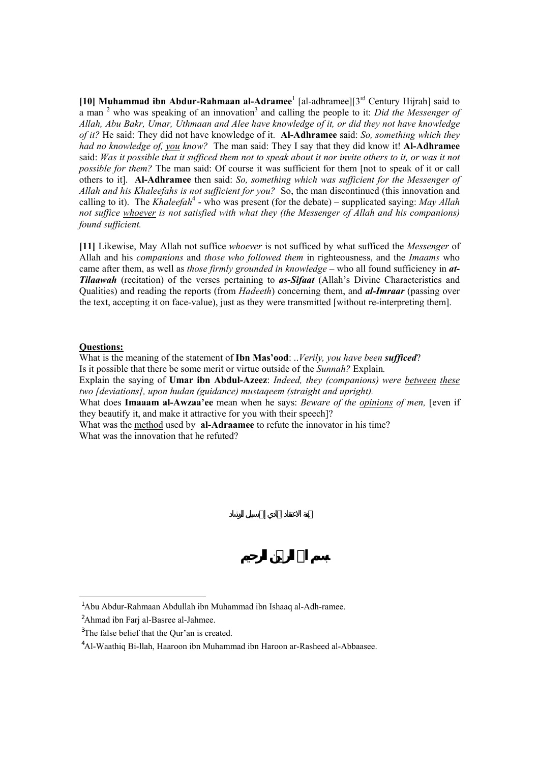[10] **Muhammad ibn Abdur-Rahmaan al-Adramee**<sup>1</sup> [al-adhramee][3<sup>rd</sup> Century Hijrah] said to a man <sup>2</sup> who was speaking of an innovation<sup>3</sup> and calling the people to it: *Did the Messenger of Allah, Abu Bakr, Umar, Uthmaan and Alee have knowledge of it, or did they not have knowledge of it?* He said: They did not have knowledge of it. **Al-Adhramee** said: *So, something which they had no knowledge of, you know?* The man said: They I say that they did know it! **Al-Adhramee**  said: *Was it possible that it sufficed them not to speak about it nor invite others to it, or was it not possible for them?* The man said: Of course it was sufficient for them [not to speak of it or call others to it]. **Al-Adhramee** then said: *So, something which was sufficient for the Messenger of Allah and his Khaleefahs is not sufficient for you?* So, the man discontinued (this innovation and calling to it). The *Khaleefah*<sup>4</sup> - who was present (for the debate) – supplicated saying: *May Allah not suffice whoever is not satisfied with what they (the Messenger of Allah and his companions) found sufficient.* 

**[11]** Likewise, May Allah not suffice *whoever* is not sufficed by what sufficed the *Messenger* of Allah and his *companions* and *those who followed them* in righteousness, and the *Imaams* who came after them, as well as *those firmly grounded in knowledge* – who all found sufficiency in *at-Tilaawah* (recitation) of the verses pertaining to *as***-***Sifaat* (Allah's Divine Characteristics and Qualities) and reading the reports (from *Hadeeth*) concerning them, and *al-Imraar* (passing over the text, accepting it on face-value), just as they were transmitted [without re-interpreting them].

### **Questions:**

 $\overline{a}$ 

What is the meaning of the statement of **Ibn Mas'ood**: ..*Verily, you have been sufficed*? Is it possible that there be some merit or virtue outside of the *Sunnah?* Explain*.*  Explain the saying of **Umar ibn Abdul-Azeez**: *Indeed, they (companions) were between these two [deviations], upon hudan (guidance) mustaqeem (straight and upright).*  What does **Imaaam al-Awzaa'ee** mean when he says: *Beware of the opinions of men,* [even if they beautify it, and make it attractive for you with their speech]? What was the method used by **al-Adraamee** to refute the innovator in his time? What was the innovation that he refuted?

<sup>&</sup>lt;sup>1</sup>Abu Abdur-Rahmaan Abdullah ibn Muhammad ibn Ishaaq al-Adh-ramee.

<sup>&</sup>lt;sup>2</sup>Ahmad ibn Farj al-Basree al-Jahmee.

<sup>&</sup>lt;sup>3</sup>The false belief that the Qur'an is created.

<sup>4</sup> Al-Waathiq Bi-llah, Haaroon ibn Muhammad ibn Haroon ar-Rasheed al-Abbaasee.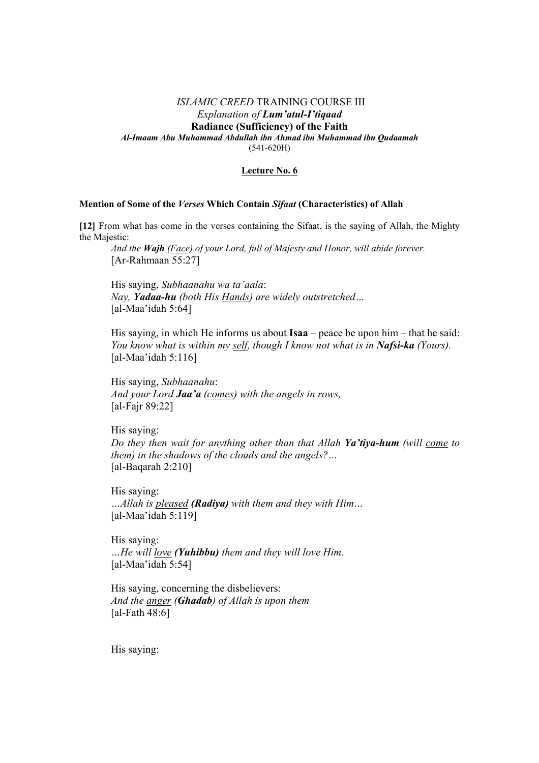#### **Lecture No. 6**

### **Mention of Some of the** *Verses* **Which Contain** *Sifaat* **(Characteristics) of Allah**

**[12]** From what has come in the verses containing the Sifaat, is the saying of Allah, the Mighty the Majestic:

 *And the Wajh (Face) of your Lord, full of Majesty and Honor, will abide forever.* [Ar-Rahmaan 55:27]

 His saying, *Subhaanahu wa ta'aala*: *Nay, Yadaa-hu (both His Hands) are widely outstretched…*  [al-Maa'idah 5:64]

 His saying, in which He informs us about **Isaa** – peace be upon him – that he said: *You know what is within my self, though I know not what is in Nafsi-ka (Yours).* [al-Maa'idah  $5:116$ ]

 His saying, *Subhaanahu*: *And your Lord Jaa'a (comes) with the angels in rows,*  [al-Fajr 89:22]

 His saying: *Do they then wait for anything other than that Allah Ya'tiya-hum (will come to them) in the shadows of the clouds and the angels?…*  [al-Baqarah 2:210]

 His saying: *…Allah is pleased (Radiya) with them and they with Him…*  [al-Maa'idah 5:119]

 His saying: *…He will love (Yuhibbu) them and they will love Him.*  [al-Maa'idah 5:54]

 His saying, concerning the disbelievers: *And the anger (Ghadab) of Allah is upon them*  [al-Fath 48:6]

His saying: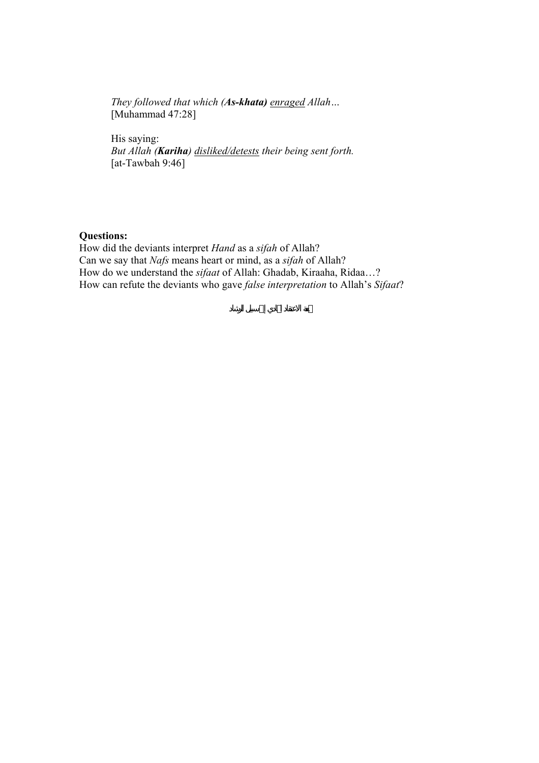*They followed that which (As-khata) enraged Allah…*  [Muhammad 47:28]

 His saying: *But Allah (Kariha) disliked/detests their being sent forth.*  [at-Tawbah 9:46]

# **Questions:**

How did the deviants interpret *Hand* as a *sifah* of Allah? Can we say that *Nafs* means heart or mind, as a *sifah* of Allah? How do we understand the *sifaat* of Allah: Ghadab, Kiraaha, Ridaa…? How can refute the deviants who gave *false interpretation* to Allah's *Sifaat*?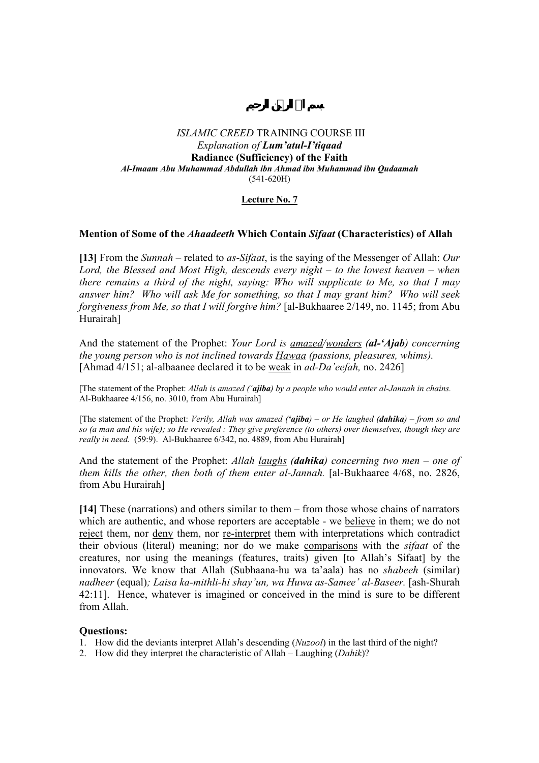## **Lecture No. 7**

## **Mention of Some of the** *Ahaadeeth* **Which Contain** *Sifaat* **(Characteristics) of Allah**

**[13]** From the *Sunnah* – related to *as*-*Sifaat*, is the saying of the Messenger of Allah: *Our Lord, the Blessed and Most High, descends every night – to the lowest heaven – when there remains a third of the night, saying: Who will supplicate to Me, so that I may answer him? Who will ask Me for something, so that I may grant him? Who will seek forgiveness from Me, so that I will forgive him?* [al-Bukhaaree 2/149, no. 1145; from Abu Hurairah]

And the statement of the Prophet: *Your Lord is amazed/wonders (al-'Ajab) concerning the young person who is not inclined towards Hawaa (passions, pleasures, whims).* [Ahmad 4/151; al-albaanee declared it to be weak in *ad-Da'eefah,* no. 2426]

[The statement of the Prophet: *Allah is amazed ('ajiba) by a people who would enter al-Jannah in chains.*  Al-Bukhaaree 4/156, no. 3010, from Abu Hurairah]

[The statement of the Prophet: *Verily, Allah was amazed ('ajiba) – or He laughed (dahika) – from so and so (a man and his wife); so He revealed : They give preference (to others) over themselves, though they are really in need.* (59:9). Al-Bukhaaree 6/342, no. 4889, from Abu Hurairah]

And the statement of the Prophet: *Allah laughs (dahika) concerning two men – one of them kills the other, then both of them enter al-Jannah.* [al-Bukhaaree 4/68, no. 2826, from Abu Hurairah]

**[14]** These (narrations) and others similar to them – from those whose chains of narrators which are authentic, and whose reporters are acceptable - we believe in them; we do not reject them, nor deny them, nor re-interpret them with interpretations which contradict their obvious (literal) meaning; nor do we make comparisons with the *sifaat* of the creatures, nor using the meanings (features, traits) given [to Allah's Sifaat] by the innovators. We know that Allah (Subhaana-hu wa ta'aala) has no *shabeeh* (similar) *nadheer* (equal)*; Laisa ka-mithli-hi shay'un, wa Huwa as-Samee' al-Baseer.* [ash-Shurah 42:11]. Hence, whatever is imagined or conceived in the mind is sure to be different from Allah.

- 1. How did the deviants interpret Allah's descending (*Nuzool*) in the last third of the night?
- 2. How did they interpret the characteristic of Allah Laughing (*Dahik*)?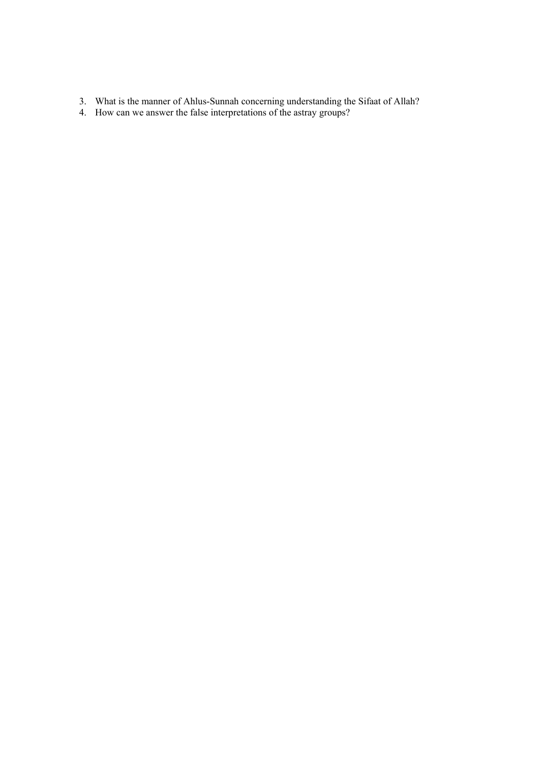- 3. What is the manner of Ahlus-Sunnah concerning understanding the Sifaat of Allah?
- 4. How can we answer the false interpretations of the astray groups?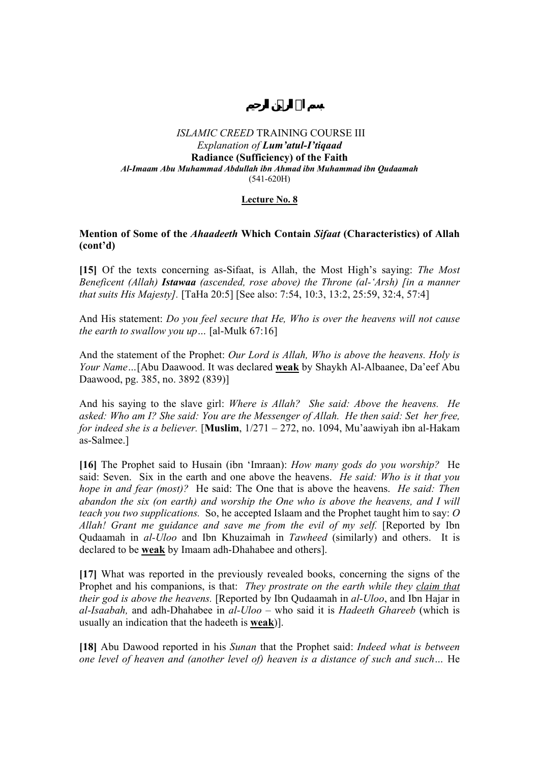## **Lecture No. 8**

## **Mention of Some of the** *Ahaadeeth* **Which Contain** *Sifaat* **(Characteristics) of Allah (cont'd)**

**[15]** Of the texts concerning as-Sifaat, is Allah, the Most High's saying: *The Most Beneficent (Allah) Istawaa (ascended, rose above) the Throne (al-'Arsh) [in a manner that suits His Majesty].* [TaHa 20:5] [See also: 7:54, 10:3, 13:2, 25:59, 32:4, 57:4]

And His statement: *Do you feel secure that He, Who is over the heavens will not cause the earth to swallow you up…* [al-Mulk 67:16]

And the statement of the Prophet: *Our Lord is Allah, Who is above the heavens. Holy is Your Name…*[Abu Daawood. It was declared **weak** by Shaykh Al-Albaanee, Da'eef Abu Daawood, pg. 385, no. 3892 (839)]

And his saying to the slave girl: *Where is Allah? She said: Above the heavens. He asked: Who am I? She said: You are the Messenger of Allah. He then said: Set her free, for indeed she is a believer.* [**Muslim**, 1/271 – 272, no. 1094, Mu'aawiyah ibn al-Hakam as-Salmee.]

**[16]** The Prophet said to Husain (ibn 'Imraan): *How many gods do you worship?* He said: Seven. Six in the earth and one above the heavens. *He said: Who is it that you hope in and fear (most)?* He said: The One that is above the heavens. *He said: Then abandon the six (on earth) and worship the One who is above the heavens, and I will teach you two supplications.* So, he accepted Islaam and the Prophet taught him to say: *O*  Allah! Grant me guidance and save me from the evil of my self. [Reported by Ibn Qudaamah in *al-Uloo* and Ibn Khuzaimah in *Tawheed* (similarly) and others. It is declared to be **weak** by Imaam adh-Dhahabee and others].

**[17]** What was reported in the previously revealed books, concerning the signs of the Prophet and his companions, is that: *They prostrate on the earth while they claim that their god is above the heavens.* [Reported by Ibn Qudaamah in *al-Uloo*, and Ibn Hajar in *al-Isaabah,* and adh-Dhahabee in *al-Uloo* – who said it is *Hadeeth Ghareeb* (which is usually an indication that the hadeeth is **weak**)].

**[18]** Abu Dawood reported in his *Sunan* that the Prophet said: *Indeed what is between one level of heaven and (another level of) heaven is a distance of such and such...* He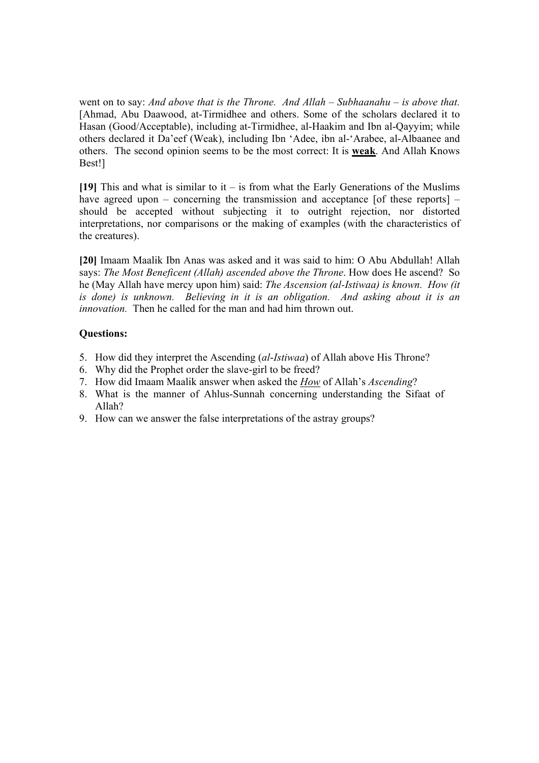went on to say: *And above that is the Throne. And Allah – Subhaanahu – is above that.*  [Ahmad, Abu Daawood, at-Tirmidhee and others. Some of the scholars declared it to Hasan (Good/Acceptable), including at-Tirmidhee, al-Haakim and Ibn al-Qayyim; while others declared it Da'eef (Weak), including Ibn 'Adee, ibn al-'Arabee, al-Albaanee and others. The second opinion seems to be the most correct: It is **weak**. And Allah Knows Best!]

**[19]** This and what is similar to it – is from what the Early Generations of the Muslims have agreed upon – concerning the transmission and acceptance [of these reports] – should be accepted without subjecting it to outright rejection, nor distorted interpretations, nor comparisons or the making of examples (with the characteristics of the creatures).

**[20]** Imaam Maalik Ibn Anas was asked and it was said to him: O Abu Abdullah! Allah says: *The Most Beneficent (Allah) ascended above the Throne*. How does He ascend? So he (May Allah have mercy upon him) said: *The Ascension (al-Istiwaa) is known. How (it is done) is unknown. Believing in it is an obligation. And asking about it is an innovation.* Then he called for the man and had him thrown out.

- 5. How did they interpret the Ascending (*al*-*Istiwaa*) of Allah above His Throne?
- 6. Why did the Prophet order the slave-girl to be freed?
- 7. How did Imaam Maalik answer when asked the *How* of Allah's *Ascending*?
- 8. What is the manner of Ahlus-Sunnah concerning understanding the Sifaat of Allah?
- 9. How can we answer the false interpretations of the astray groups?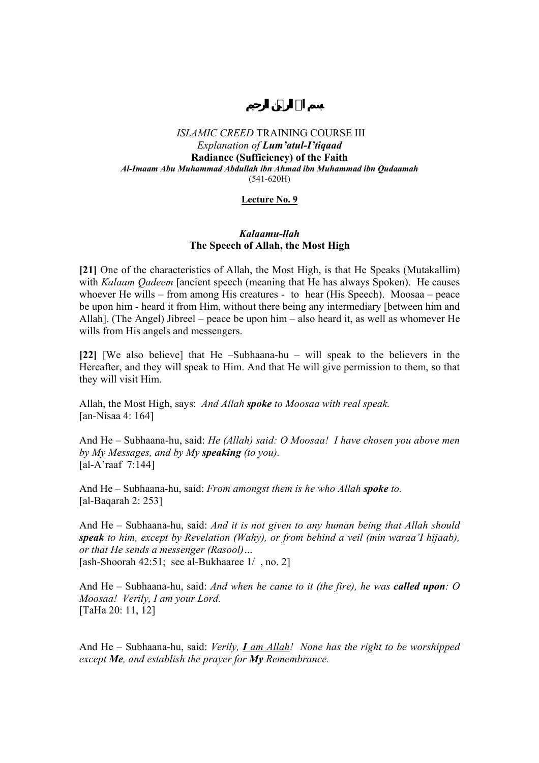### **Lecture No. 9**

## *Kalaamu-llah*  **The Speech of Allah, the Most High**

**[21]** One of the characteristics of Allah, the Most High, is that He Speaks (Mutakallim) with *Kalaam Qadeem* [ancient speech (meaning that He has always Spoken). He causes whoever He wills – from among His creatures - to hear (His Speech). Moosaa – peace be upon him - heard it from Him, without there being any intermediary [between him and Allah]. (The Angel) Jibreel – peace be upon him – also heard it, as well as whomever He wills from His angels and messengers.

**[22]** [We also believe] that He –Subhaana-hu – will speak to the believers in the Hereafter, and they will speak to Him. And that He will give permission to them, so that they will visit Him.

Allah, the Most High, says: *And Allah spoke to Moosaa with real speak.*  [an-Nisaa 4: 164]

And He – Subhaana-hu, said: *He (Allah) said: O Moosaa! I have chosen you above men by My Messages, and by My speaking (to you).*  [al-A'raaf 7:144]

And He – Subhaana-hu, said: *From amongst them is he who Allah spoke to.*  [al-Baqarah 2: 253]

And He – Subhaana-hu, said: *And it is not given to any human being that Allah should speak to him, except by Revelation (Wahy), or from behind a veil (min waraa'I hijaab), or that He sends a messenger (Rasool)…*  [ash-Shoorah 42:51; see al-Bukhaaree 1/ , no. 2]

And He – Subhaana-hu, said: *And when he came to it (the fire), he was called upon: O Moosaa! Verily, I am your Lord.*  [TaHa 20: 11, 12]

And He – Subhaana-hu, said: *Verily, I am Allah! None has the right to be worshipped except Me, and establish the prayer for My Remembrance.*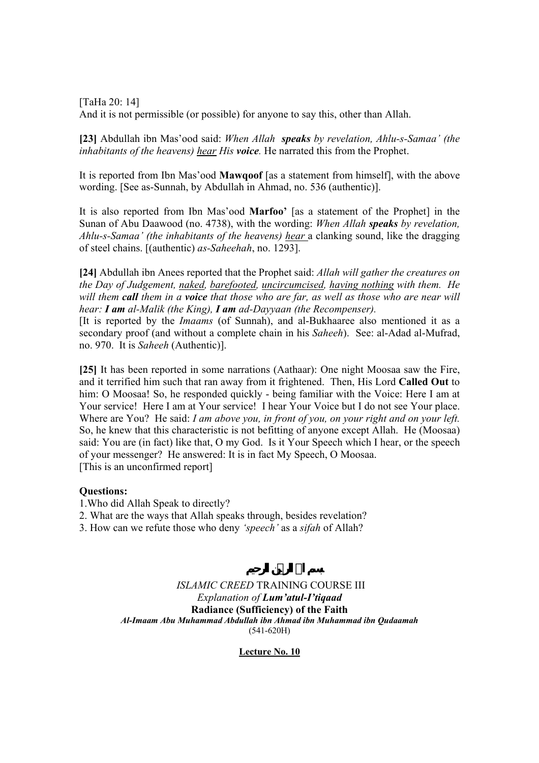[TaHa 20: 14] And it is not permissible (or possible) for anyone to say this, other than Allah.

**[23]** Abdullah ibn Mas'ood said: *When Allah speaks by revelation, Ahlu-s-Samaa' (the inhabitants of the heavens) hear His voice.* He narrated this from the Prophet.

It is reported from Ibn Mas'ood **Mawqoof** [as a statement from himself], with the above wording. [See as-Sunnah, by Abdullah in Ahmad, no. 536 (authentic)].

It is also reported from Ibn Mas'ood **Marfoo'** [as a statement of the Prophet] in the Sunan of Abu Daawood (no. 4738), with the wording: *When Allah speaks by revelation, Ahlu-s-Samaa' (the inhabitants of the heavens) hear* a clanking sound, like the dragging of steel chains. [(authentic) *as-Saheehah*, no. 1293].

**[24]** Abdullah ibn Anees reported that the Prophet said: *Allah will gather the creatures on the Day of Judgement, naked, barefooted, uncircumcised, having nothing with them. He will them call them in a voice that those who are far, as well as those who are near will hear: I am al-Malik (the King), I am ad-Dayyaan (the Recompenser).* 

[It is reported by the *Imaams* (of Sunnah), and al-Bukhaaree also mentioned it as a secondary proof (and without a complete chain in his *Saheeh*). See: al-Adad al-Mufrad, no. 970. It is *Saheeh* (Authentic)].

**[25]** It has been reported in some narrations (Aathaar): One night Moosaa saw the Fire, and it terrified him such that ran away from it frightened. Then, His Lord **Called Out** to him: O Moosaa! So, he responded quickly - being familiar with the Voice: Here I am at Your service! Here I am at Your service! I hear Your Voice but I do not see Your place. Where are You? He said: *I am above you, in front of you, on your right and on your left.*  So, he knew that this characteristic is not befitting of anyone except Allah. He (Moosaa) said: You are (in fact) like that, O my God. Is it Your Speech which I hear, or the speech of your messenger? He answered: It is in fact My Speech, O Moosaa. [This is an unconfirmed report]

## **Questions:**

- 1.Who did Allah Speak to directly?
- 2. What are the ways that Allah speaks through, besides revelation?
- 3. How can we refute those who deny *'speech'* as a *sifah* of Allah?

*ISLAMIC CREED* TRAINING COURSE III *Explanation of Lum'atul-I'tiqaad* **Radiance (Sufficiency) of the Faith**  *Al-Imaam Abu Muhammad Abdullah ibn Ahmad ibn Muhammad ibn Qudaamah*  (541-620H)

## **Lecture No. 10**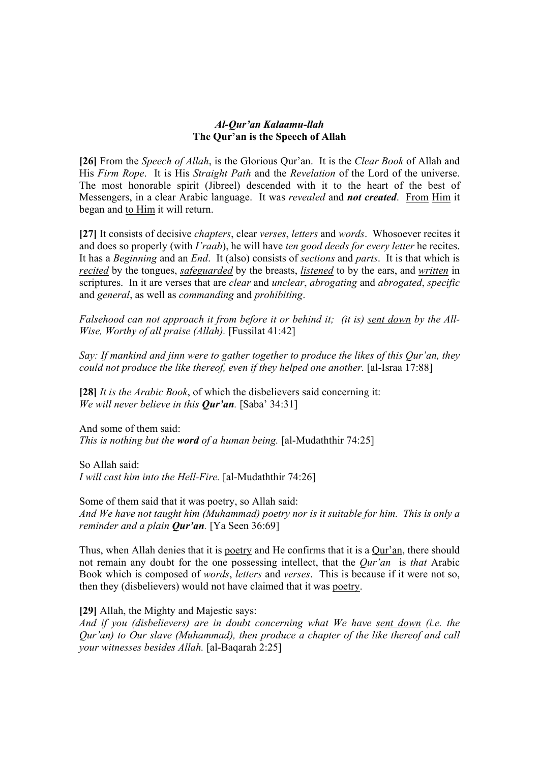## *Al-Qur'an Kalaamu-llah*  **The Qur'an is the Speech of Allah**

**[26]** From the *Speech of Allah*, is the Glorious Qur'an. It is the *Clear Book* of Allah and His *Firm Rope*. It is His *Straight Path* and the *Revelation* of the Lord of the universe. The most honorable spirit (Jibreel) descended with it to the heart of the best of Messengers, in a clear Arabic language. It was *revealed* and *not created*. From Him it began and to Him it will return.

**[27]** It consists of decisive *chapters*, clear *verses*, *letters* and *words*. Whosoever recites it and does so properly (with *I'raab*), he will have *ten good deeds for every letter* he recites. It has a *Beginning* and an *End*. It (also) consists of *sections* and *parts*. It is that which is *recited* by the tongues, *safeguarded* by the breasts, *listened* to by the ears, and *written* in scriptures. In it are verses that are *clear* and *unclear*, *abrogating* and *abrogated*, *specific* and *general*, as well as *commanding* and *prohibiting*.

*Falsehood can not approach it from before it or behind it; (it is) sent down by the All-Wise, Worthy of all praise (Allah).* [Fussilat 41:42]

*Say: If mankind and jinn were to gather together to produce the likes of this Qur'an, they could not produce the like thereof, even if they helped one another.* [al-Israa 17:88]

**[28]** *It is the Arabic Book*, of which the disbelievers said concerning it: *We will never believe in this Qur'an.* [Saba' 34:31]

And some of them said: *This is nothing but the word of a human being.* [al-Mudaththir 74:25]

So Allah said: *I will cast him into the Hell-Fire.* [al-Mudaththir 74:26]

Some of them said that it was poetry, so Allah said: *And We have not taught him (Muhammad) poetry nor is it suitable for him. This is only a reminder and a plain Qur'an.* [Ya Seen 36:69]

Thus, when Allah denies that it is poetry and He confirms that it is a Qur'an, there should not remain any doubt for the one possessing intellect, that the *Qur'an* is *that* Arabic Book which is composed of *words*, *letters* and *verses*. This is because if it were not so, then they (disbelievers) would not have claimed that it was poetry.

**[29]** Allah, the Mighty and Majestic says:

*And if you (disbelievers) are in doubt concerning what We have sent down (i.e. the Qur'an) to Our slave (Muhammad), then produce a chapter of the like thereof and call your witnesses besides Allah.* [al-Baqarah 2:25]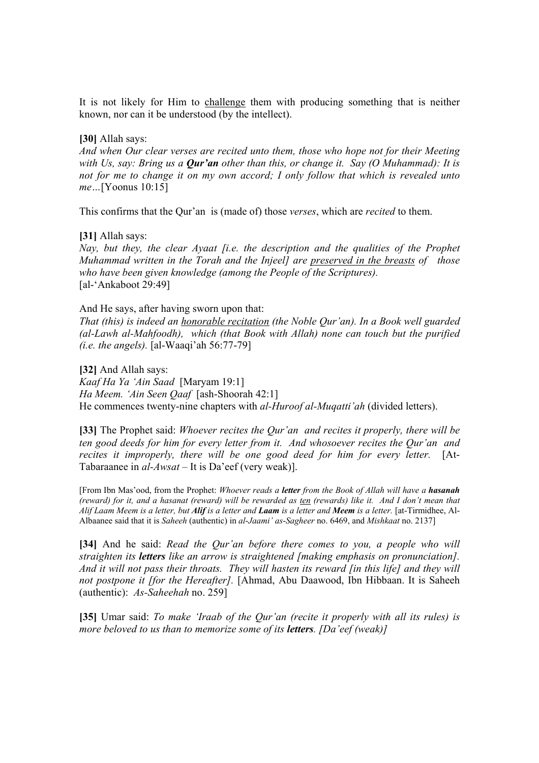It is not likely for Him to challenge them with producing something that is neither known, nor can it be understood (by the intellect).

## **[30]** Allah says:

*And when Our clear verses are recited unto them, those who hope not for their Meeting with Us, say: Bring us a Qur'an other than this, or change it. Say (O Muhammad): It is not for me to change it on my own accord; I only follow that which is revealed unto me…*[Yoonus 10:15]

This confirms that the Qur'an is (made of) those *verses*, which are *recited* to them.

## **[31]** Allah says:

*Nay, but they, the clear Ayaat [i.e. the description and the qualities of the Prophet Muhammad written in the Torah and the Injeel] are preserved in the breasts of those who have been given knowledge (among the People of the Scriptures).*  [al-'Ankaboot 29:49]

## And He says, after having sworn upon that:

*That (this) is indeed an honorable recitation (the Noble Qur'an). In a Book well guarded (al-Lawh al-Mahfoodh), which (that Book with Allah) none can touch but the purified (i.e. the angels).* [al-Waaqi'ah 56:77-79]

**[32]** And Allah says:

*Kaaf Ha Ya 'Ain Saad* [Maryam 19:1]

*Ha Meem. 'Ain Seen Qaaf* [ash-Shoorah 42:1]

He commences twenty-nine chapters with *al-Huroof al-Muqatti'ah* (divided letters).

**[33]** The Prophet said: *Whoever recites the Qur'an and recites it properly, there will be ten good deeds for him for every letter from it. And whosoever recites the Qur'an and recites it improperly, there will be one good deed for him for every letter.* [At-Tabaraanee in *al-Awsat* – It is Da'eef (very weak)].

[From Ibn Mas'ood, from the Prophet: *Whoever reads a letter from the Book of Allah will have a hasanah (reward) for it, and a hasanat (reward) will be rewarded as ten (rewards) like it. And I don't mean that Alif Laam Meem is a letter, but Alif is a letter and Laam is a letter and Meem is a letter.* [at-Tirmidhee, Al-Albaanee said that it is *Saheeh* (authentic) in *al*-*Jaami' as*-*Sagheer* no. 6469, and *Mishkaat* no. 2137]

**[34]** And he said: *Read the Qur'an before there comes to you, a people who will straighten its letters like an arrow is straightened [making emphasis on pronunciation]. And it will not pass their throats. They will hasten its reward [in this life] and they will not postpone it [for the Hereafter].* [Ahmad, Abu Daawood, Ibn Hibbaan. It is Saheeh (authentic): *As-Saheehah* no. 259]

**[35]** Umar said: *To make 'Iraab of the Qur'an (recite it properly with all its rules) is more beloved to us than to memorize some of its letters. [Da'eef (weak)]*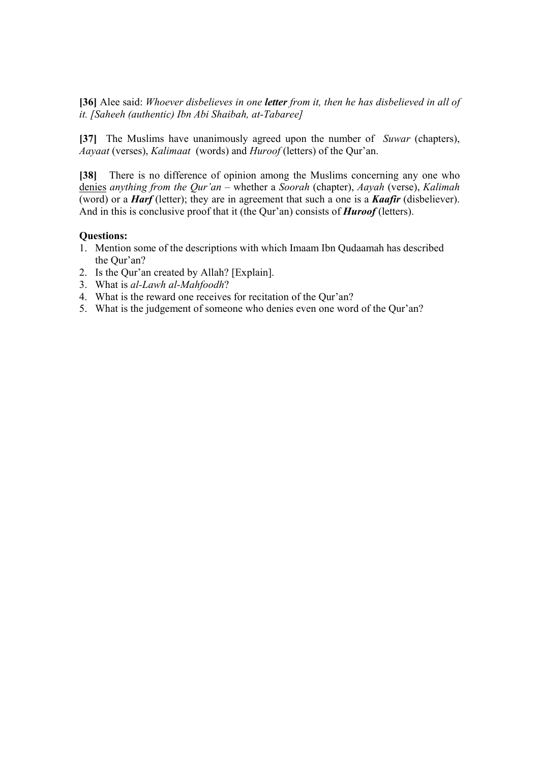**[36]** Alee said: *Whoever disbelieves in one letter from it, then he has disbelieved in all of it. [Saheeh (authentic) Ibn Abi Shaibah, at-Tabaree]* 

**[37]** The Muslims have unanimously agreed upon the number of *Suwar* (chapters), *Aayaat* (verses), *Kalimaat* (words) and *Huroof* (letters) of the Qur'an.

**[38]** There is no difference of opinion among the Muslims concerning any one who denies *anything from the Qur'an* – whether a *Soorah* (chapter), *Aayah* (verse), *Kalimah* (word) or a *Harf* (letter); they are in agreement that such a one is a *Kaafir* (disbeliever). And in this is conclusive proof that it (the Qur'an) consists of *Huroof* (letters).

- 1. Mention some of the descriptions with which Imaam Ibn Qudaamah has described the Qur'an?
- 2. Is the Qur'an created by Allah? [Explain].
- 3. What is *al-Lawh al-Mahfoodh*?
- 4. What is the reward one receives for recitation of the Qur'an?
- 5. What is the judgement of someone who denies even one word of the Qur'an?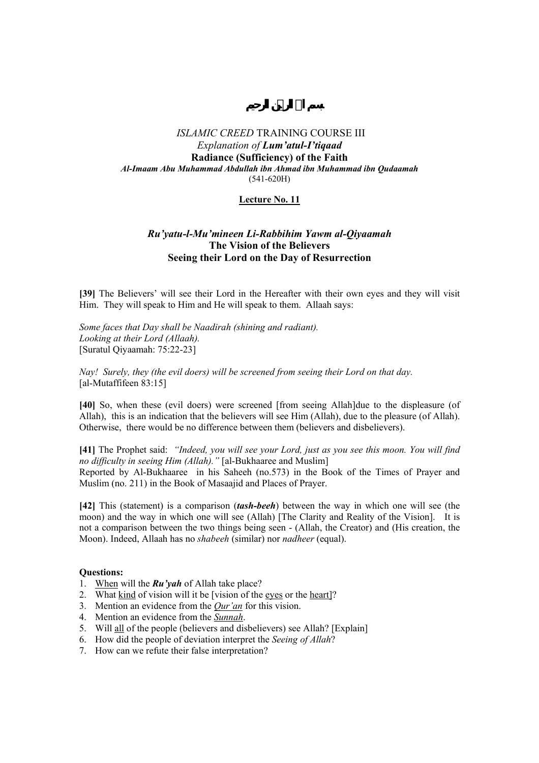## **Lecture No. 11**

## *Ru'yatu-l-Mu'mineen Li-Rabbihim Yawm al-Qiyaamah*  **The Vision of the Believers Seeing their Lord on the Day of Resurrection**

**[39]** The Believers' will see their Lord in the Hereafter with their own eyes and they will visit Him. They will speak to Him and He will speak to them. Allaah says:

*Some faces that Day shall be Naadirah (shining and radiant). Looking at their Lord (Allaah).*  [Suratul Qiyaamah: 75:22-23]

*Nay! Surely, they (the evil doers) will be screened from seeing their Lord on that day.*  [al-Mutaffifeen 83:15]

**[40]** So, when these (evil doers) were screened [from seeing Allah]due to the displeasure (of Allah), this is an indication that the believers will see Him (Allah), due to the pleasure (of Allah). Otherwise, there would be no difference between them (believers and disbelievers).

**[41]** The Prophet said: *"Indeed, you will see your Lord, just as you see this moon. You will find no difficulty in seeing Him (Allah)."* [al-Bukhaaree and Muslim] Reported by Al-Bukhaaree in his Saheeh (no.573) in the Book of the Times of Prayer and Muslim (no. 211) in the Book of Masaajid and Places of Prayer.

**[42]** This (statement) is a comparison (*tash-beeh*) between the way in which one will see (the moon) and the way in which one will see (Allah) [The Clarity and Reality of the Vision]. It is not a comparison between the two things being seen - (Allah, the Creator) and (His creation, the Moon). Indeed, Allaah has no *shabeeh* (similar) nor *nadheer* (equal).

- 1. When will the *Ru'yah* of Allah take place?
- 2. What kind of vision will it be [vision of the eyes or the heart]?
- 3. Mention an evidence from the *Qur'an* for this vision.
- 4. Mention an evidence from the *Sunnah*.
- 5. Will all of the people (believers and disbelievers) see Allah? [Explain]
- 6. How did the people of deviation interpret the *Seeing of Allah*?
- 7. How can we refute their false interpretation?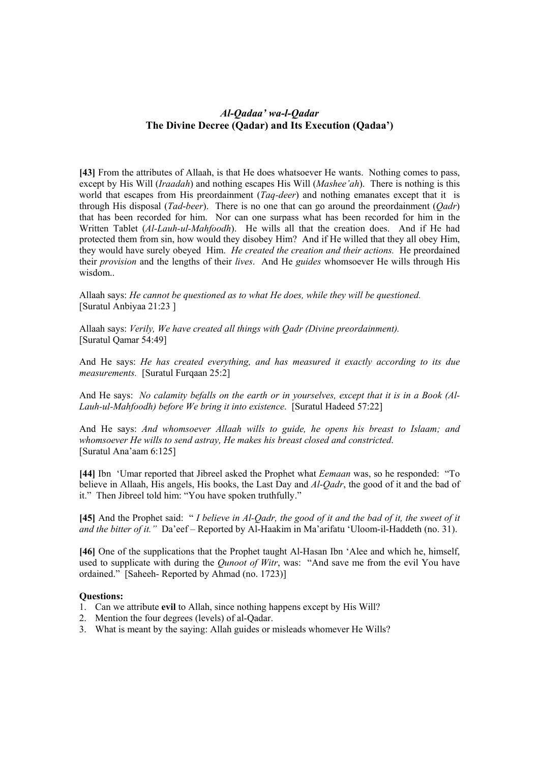## *Al-Qadaa' wa-l-Qadar*  **The Divine Decree (Qadar) and Its Execution (Qadaa')**

[43] From the attributes of Allaah, is that He does whatsoever He wants. Nothing comes to pass, except by His Will (*Iraadah*) and nothing escapes His Will (*Mashee'ah*). There is nothing is this world that escapes from His preordainment (*Taq-deer*) and nothing emanates except that it is through His disposal (*Tad*-*beer*). There is no one that can go around the preordainment (*Qadr*) that has been recorded for him. Nor can one surpass what has been recorded for him in the Written Tablet (*Al-Lauh-ul-Mahfoodh*). He wills all that the creation does. And if He had protected them from sin, how would they disobey Him? And if He willed that they all obey Him, they would have surely obeyed Him. *He created the creation and their actions.* He preordained their *provision* and the lengths of their *lives*. And He *guides* whomsoever He wills through His wisdom..

Allaah says: *He cannot be questioned as to what He does, while they will be questioned.*  [Suratul Anbiyaa 21:23 ]

Allaah says: *Verily, We have created all things with Qadr (Divine preordainment).*  [Suratul Qamar 54:49]

And He says: *He has created everything, and has measured it exactly according to its due measurements.* [Suratul Furqaan 25:2]

And He says: *No calamity befalls on the earth or in yourselves, except that it is in a Book (Al-Lauh-ul-Mahfoodh) before We bring it into existence*. [Suratul Hadeed 57:22]

And He says: *And whomsoever Allaah wills to guide, he opens his breast to Islaam; and whomsoever He wills to send astray, He makes his breast closed and constricted*. [Suratul Ana'aam 6:125]

**[44]** Ibn 'Umar reported that Jibreel asked the Prophet what *Eemaan* was, so he responded: "To believe in Allaah, His angels, His books, the Last Day and *Al*-*Qadr*, the good of it and the bad of it." Then Jibreel told him: "You have spoken truthfully."

**[45]** And the Prophet said: " *I believe in Al-Qadr, the good of it and the bad of it, the sweet of it and the bitter of it."* Da'eef – Reported by Al-Haakim in Ma'arifatu 'Uloom-il-Haddeth (no. 31).

**[46]** One of the supplications that the Prophet taught Al-Hasan Ibn 'Alee and which he, himself, used to supplicate with during the *Qunoot of Witr*, was: "And save me from the evil You have ordained." [Saheeh- Reported by Ahmad (no. 1723)]

- 1. Can we attribute **evil** to Allah, since nothing happens except by His Will?
- 2. Mention the four degrees (levels) of al-Qadar.
- 3. What is meant by the saying: Allah guides or misleads whomever He Wills?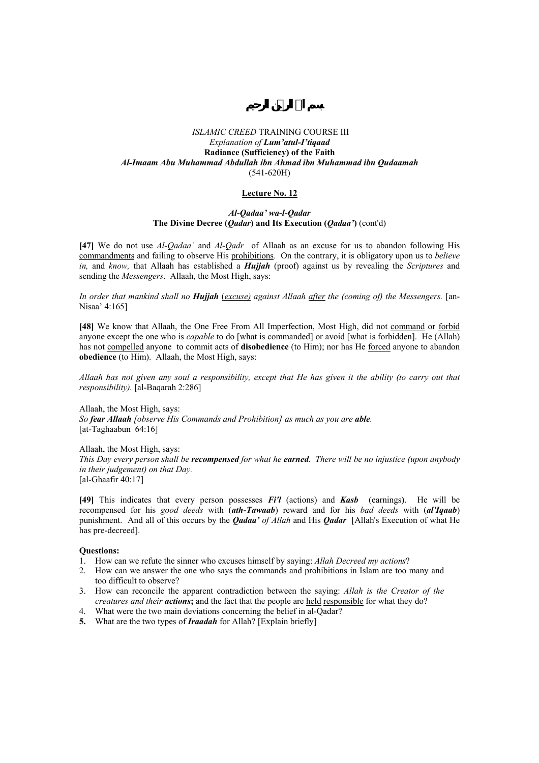#### **Lecture No. 12**

### *Al-Qadaa' wa-l-Qadar*  **The Divine Decree (***Qadar***) and Its Execution (***Qadaa'***)** (cont'd)

**[47]** We do not use *Al-Qadaa'* and *Al*-*Qadr* of Allaah as an excuse for us to abandon following His commandments and failing to observe His prohibitions. On the contrary, it is obligatory upon us to *believe in,* and *know,* that Allaah has established a *Hujjah* (proof) against us by revealing the *Scriptures* and sending the *Messengers*. Allaah, the Most High, says:

*In order that mankind shall no Hujjah* (*excuse) against Allaah after the (coming of) the Messengers.* [an-Nisaa' 4:165]

**[48]** We know that Allaah, the One Free From All Imperfection, Most High, did not command or forbid anyone except the one who is *capable* to do [what is commanded] or avoid [what is forbidden]. He (Allah) has not compelled anyone to commit acts of **disobedience** (to Him); nor has He forced anyone to abandon **obedience** (to Him). Allaah, the Most High, says:

*Allaah has not given any soul a responsibility, except that He has given it the ability (to carry out that responsibility).* [al-Baqarah 2:286]

Allaah, the Most High, says: *So fear Allaah [observe His Commands and Prohibition] as much as you are able.* [at-Taghaabun 64:16]

Allaah, the Most High, says:

*This Day every person shall be recompensed for what he earned. There will be no injustice (upon anybody in their judgement) on that Day.* 

[al-Ghaafir 40:17]

**[49]** This indicates that every person possesses *Fi'l* (actions) and *Kasb* (earnings**)**. He will be recompensed for his *good deeds* with (*ath-Tawaab*) reward and for his *bad deeds* with (*al'Iqaab*) punishment. And all of this occurs by the *Qadaa' of Allah* and His *Qadar* [Allah's Execution of what He has pre-decreed].

- 1. How can we refute the sinner who excuses himself by saying: *Allah Decreed my actions*?
- 2. How can we answer the one who says the commands and prohibitions in Islam are too many and too difficult to observe?
- 3. How can reconcile the apparent contradiction between the saying: *Allah is the Creator of the creatures and their actions*; and the fact that the people are held responsible for what they do?
- 4. What were the two main deviations concerning the belief in al-Qadar?
- **5.** What are the two types of *Iraadah* for Allah? [Explain briefly]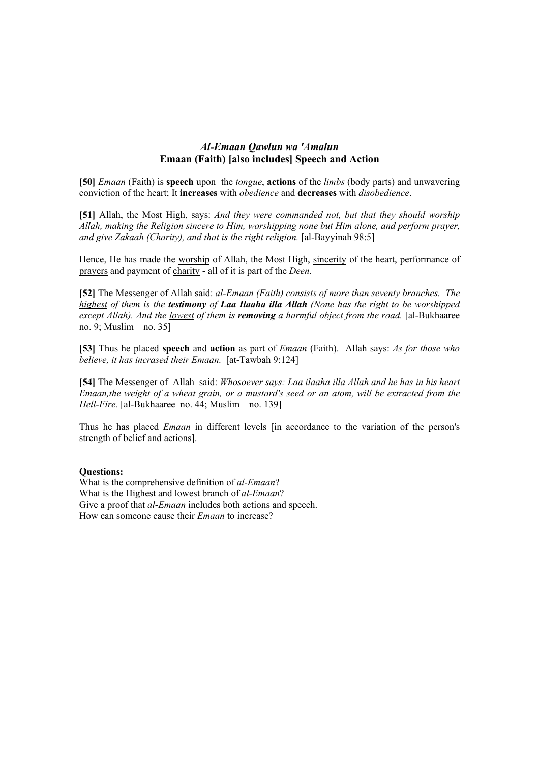## *Al-Emaan Qawlun wa 'Amalun*  **Emaan (Faith) [also includes] Speech and Action**

**[50]** *Emaan* (Faith) is **speech** upon the *tongue*, **actions** of the *limbs* (body parts) and unwavering conviction of the heart; It **increases** with *obedience* and **decreases** with *disobedience*.

**[51]** Allah, the Most High, says: *And they were commanded not, but that they should worship Allah, making the Religion sincere to Him, worshipping none but Him alone, and perform prayer, and give Zakaah (Charity), and that is the right religion.* [al-Bayyinah 98:5]

Hence, He has made the worship of Allah, the Most High, sincerity of the heart, performance of prayers and payment of charity - all of it is part of the *Deen*.

**[52]** The Messenger of Allah said: *al*-*Emaan (Faith) consists of more than seventy branches. The highest of them is the testimony of Laa Ilaaha illa Allah (None has the right to be worshipped except Allah). And the lowest of them is removing a harmful object from the road.* [al-Bukhaaree no. 9; Muslim no. 35]

**[53]** Thus he placed **speech** and **action** as part of *Emaan* (Faith). Allah says: *As for those who believe, it has incrased their Emaan.* [at-Tawbah 9:124]

**[54]** The Messenger of Allah said: *Whosoever says: Laa ilaaha illa Allah and he has in his heart Emaan,the weight of a wheat grain, or a mustard's seed or an atom, will be extracted from the Hell-Fire.* [al-Bukhaaree no. 44; Muslim no. 139]

Thus he has placed *Emaan* in different levels [in accordance to the variation of the person's strength of belief and actions].

### **Questions:**

What is the comprehensive definition of *al*-*Emaan*? What is the Highest and lowest branch of *al*-*Emaan*? Give a proof that *al*-*Emaan* includes both actions and speech. How can someone cause their *Emaan* to increase?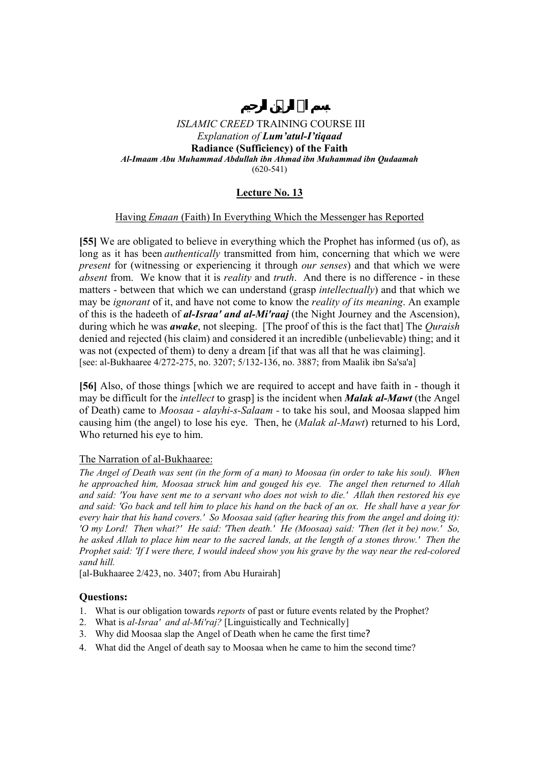# **Lecture No. 13**

## Having *Emaan* (Faith) In Everything Which the Messenger has Reported

**[55]** We are obligated to believe in everything which the Prophet has informed (us of), as long as it has been *authentically* transmitted from him, concerning that which we were *present* for (witnessing or experiencing it through *our senses*) and that which we were *absent* from. We know that it is *reality* and *truth*. And there is no difference - in these matters - between that which we can understand (grasp *intellectually*) and that which we may be *ignorant* of it, and have not come to know the *reality of its meaning*. An example of this is the hadeeth of *al-Israa' and al-Mi'raaj* (the Night Journey and the Ascension), during which he was *awake*, not sleeping. [The proof of this is the fact that] The *Quraish* denied and rejected (his claim) and considered it an incredible (unbelievable) thing; and it was not (expected of them) to deny a dream [if that was all that he was claiming]. [see: al-Bukhaaree 4/272-275, no. 3207; 5/132-136, no. 3887; from Maalik ibn Sa'sa'a]

**[56]** Also, of those things [which we are required to accept and have faith in - though it may be difficult for the *intellect* to grasp] is the incident when *Malak al-Mawt* (the Angel of Death) came to *Moosaa - alayhi-s-Salaam -* to take his soul, and Moosaa slapped him causing him (the angel) to lose his eye. Then, he (*Malak al-Mawt*) returned to his Lord, Who returned his eye to him.

## The Narration of al-Bukhaaree:

*The Angel of Death was sent (in the form of a man) to Moosaa (in order to take his soul). When he approached him, Moosaa struck him and gouged his eye. The angel then returned to Allah and said: 'You have sent me to a servant who does not wish to die.' Allah then restored his eye and said: 'Go back and tell him to place his hand on the back of an ox. He shall have a year for every hair that his hand covers.' So Moosaa said (after hearing this from the angel and doing it): 'O my Lord! Then what?' He said: 'Then death.' He (Moosaa) said: 'Then (let it be) now.' So, he asked Allah to place him near to the sacred lands, at the length of a stones throw.' Then the Prophet said: 'If I were there, I would indeed show you his grave by the way near the red-colored sand hill.* 

[al-Bukhaaree 2/423, no. 3407; from Abu Hurairah]

- 1. What is our obligation towards *reports* of past or future events related by the Prophet?
- 2. What is *al-Israa' and al-Mi'raj?* [Linguistically and Technically]
- 3. Why did Moosaa slap the Angel of Death when he came the first time?
- 4. What did the Angel of death say to Moosaa when he came to him the second time?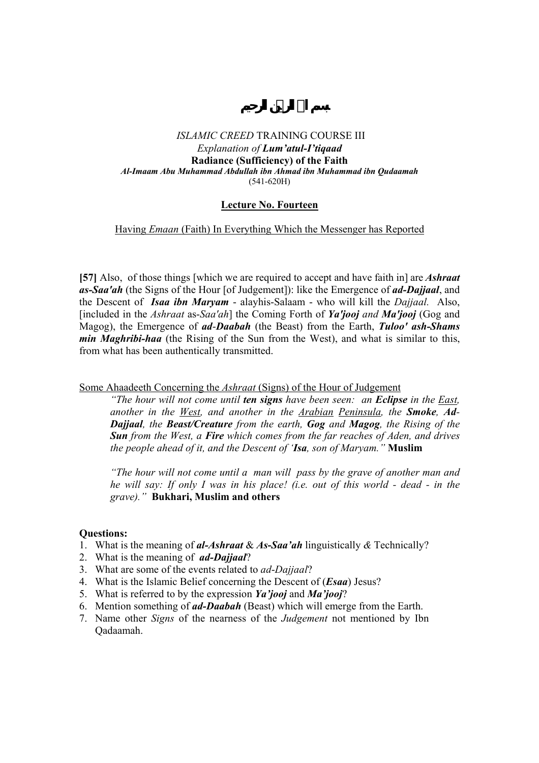## **Lecture No. Fourteen**

## Having *Emaan* (Faith) In Everything Which the Messenger has Reported

**[57]** Also, of those things [which we are required to accept and have faith in] are *Ashraat as-Saa'ah* (the Signs of the Hour [of Judgement]): like the Emergence of *ad-Dajjaal*, and the Descent of *Isaa ibn Maryam* - alayhis-Salaam - who will kill the *Dajjaal.* Also, [included in the *Ashraat* as-*Saa'ah*] the Coming Forth of *Ya'jooj and Ma'jooj* (Gog and Magog), the Emergence of *ad*-*Daabah* (the Beast) from the Earth, *Tuloo' ash-Shams min Maghribi-haa* (the Rising of the Sun from the West), and what is similar to this, from what has been authentically transmitted.

### Some Ahaadeeth Concerning the *Ashraat* (Signs) of the Hour of Judgement

*"The hour will not come until ten signs have been seen: an Eclipse in the East, another in the West, and another in the Arabian Peninsula, the Smoke, Ad-Dajjaal, the Beast/Creature from the earth, Gog and Magog, the Rising of the Sun from the West, a Fire which comes from the far reaches of Aden, and drives the people ahead of it, and the Descent of 'Isa, son of Maryam."* **Muslim**

*"The hour will not come until a man will pass by the grave of another man and he will say: If only I was in his place! (i.e. out of this world - dead - in the grave)."* **Bukhari, Muslim and others** 

- 1. What is the meaning of *al-Ashraat* & *As***-***Saa'ah* linguistically *&* Technically?
- 2. What is the meaning of *ad-Dajjaal*?
- 3. What are some of the events related to *ad*-*Dajjaal*?
- 4. What is the Islamic Belief concerning the Descent of (*Esaa*) Jesus?
- 5. What is referred to by the expression *Ya'jooj* and *Ma'jooj*?
- 6. Mention something of *ad-Daabah* (Beast) which will emerge from the Earth.
- 7. Name other *Signs* of the nearness of the *Judgement* not mentioned by Ibn Qadaamah.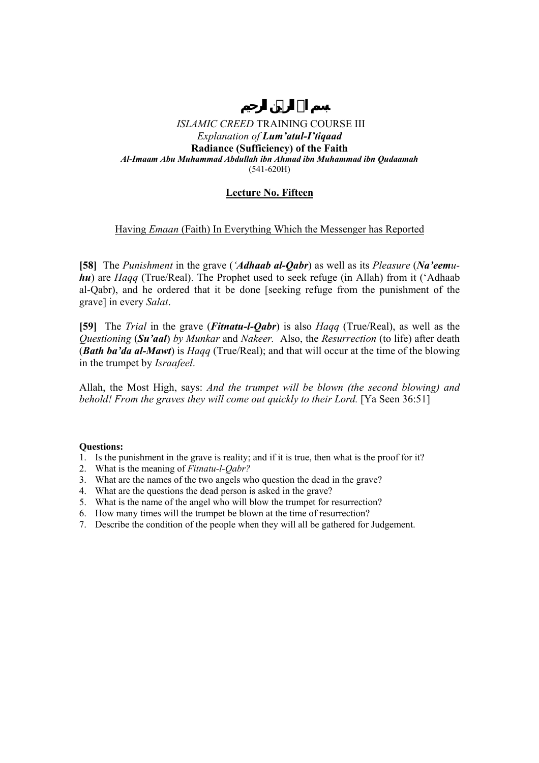## **Lecture No. Fifteen**

## Having *Emaan* (Faith) In Everything Which the Messenger has Reported

**[58]** The *Punishment* in the grave (*'Adhaab al-Qabr*) as well as its *Pleasure* (*Na'eemuhu*) are *Haqq* (True/Real). The Prophet used to seek refuge (in Allah) from it ('Adhaab al-Qabr), and he ordered that it be done [seeking refuge from the punishment of the grave] in every *Salat*.

**[59]** The *Trial* in the grave (*Fitnatu-l-Qabr*) is also *Haqq* (True/Real), as well as the *Questioning* (*Su'aal*) *by Munkar* and *Nakeer.* Also, the *Resurrection* (to life) after death (*Bath ba'da al-Mawt*) is *Haqq* (True/Real); and that will occur at the time of the blowing in the trumpet by *Israafeel*.

Allah, the Most High, says: *And the trumpet will be blown (the second blowing) and behold! From the graves they will come out quickly to their Lord.* [Ya Seen 36:51]

- 1. Is the punishment in the grave is reality; and if it is true, then what is the proof for it?
- 2. What is the meaning of *Fitnatu-l-Qabr?*
- 3. What are the names of the two angels who question the dead in the grave?
- 4. What are the questions the dead person is asked in the grave?
- 5. What is the name of the angel who will blow the trumpet for resurrection?
- 6. How many times will the trumpet be blown at the time of resurrection?
- 7. Describe the condition of the people when they will all be gathered for Judgement.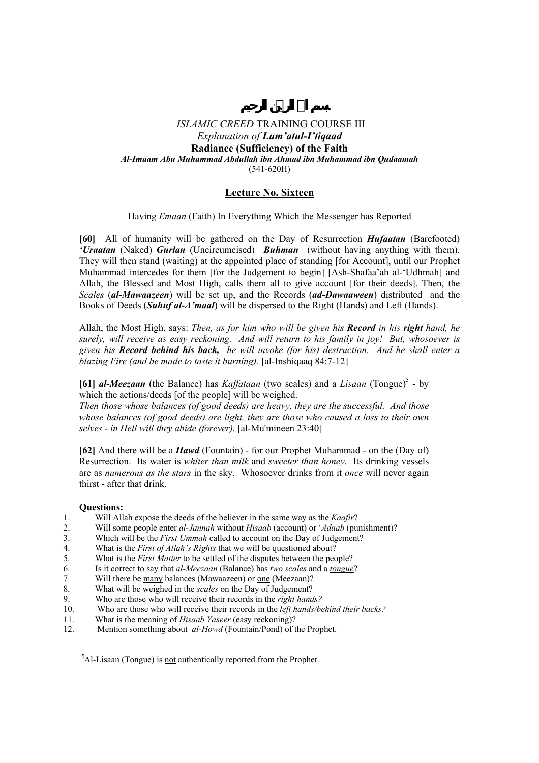## **Lecture No. Sixteen**

### Having *Emaan* (Faith) In Everything Which the Messenger has Reported

**[60]** All of humanity will be gathered on the Day of Resurrection *Hufaatan* (Barefooted) *'Uraatan* (Naked) *Gurlan* (Uncircumcised) *Buhman* (without having anything with them). They will then stand (waiting) at the appointed place of standing [for Account], until our Prophet Muhammad intercedes for them [for the Judgement to begin] [Ash-Shafaa'ah al-'Udhmah] and Allah, the Blessed and Most High, calls them all to give account [for their deeds]. Then, the *Scales* (*al-Mawaazeen*) will be set up, and the Records (*ad-Dawaaween*) distributed and the Books of Deeds (*Suhuf al-A'maal*) will be dispersed to the Right (Hands) and Left (Hands).

Allah, the Most High, says: *Then, as for him who will be given his Record in his right hand, he surely, will receive as easy reckoning. And will return to his family in joy! But, whosoever is given his Record behind his back, he will invoke (for his) destruction. And he shall enter a blazing Fire (and be made to taste it burning).* [al-Inshiqaaq 84:7-12]

[61] *al-Meezaan* (the Balance) has *Kaffataan* (two scales) and a *Lisaan* (Tongue)<sup>5</sup> - by which the actions/deeds [of the people] will be weighed.

*Then those whose balances (of good deeds) are heavy, they are the successful. And those whose balances (of good deeds) are light, they are those who caused a loss to their own selves - in Hell will they abide (forever).* [al-Mu'mineen 23:40]

**[62]** And there will be a *Hawd* (Fountain) - for our Prophet Muhammad - on the (Day of) Resurrection. Its water is *whiter than milk* and *sweeter than honey*. Its drinking vessels are as *numerous as the stars* in the sky. Whosoever drinks from it *once* will never again thirst - after that drink.

### **Questions:**

 $\overline{a}$ 

- 1. Will Allah expose the deeds of the believer in the same way as the *Kaafir*?
- 2. Will some people enter *al*-*Jannah* without *Hisaab* (account) or '*Adaab* (punishment)?
- 3. Which will be the *First Ummah* called to account on the Day of Judgement?
- 4. What is the *First of Allah's Rights* that we will be questioned about?
- 5. What is the *First Matter* to be settled of the disputes between the people?
- 6. Is it correct to say that *al-Meezaan* (Balance) has *two scales* and a *tongue*?
- 7. Will there be many balances (Mawaazeen) or one (Meezaan)?
- 8. What will be weighed in the *scales* on the Day of Judgement?
- 9. Who are those who will receive their records in the *right hands?*
- 10. Who are those who will receive their records in the *left hands/behind their backs?*
- 11. What is the meaning of *Hisaab Yaseer* (easy reckoning)?
- 12. Mention something about *al-Howd* (Fountain/Pond) of the Prophet.

<sup>&</sup>lt;sup>5</sup>Al-Lisaan (Tongue) is <u>not</u> authentically reported from the Prophet.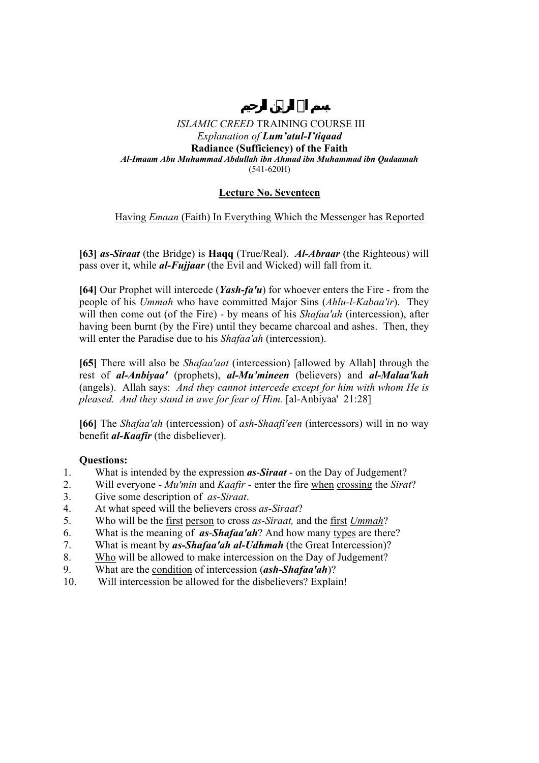# **Lecture No. Seventeen**

# Having *Emaan* (Faith) In Everything Which the Messenger has Reported

**[63]** *as***-***Siraat* (the Bridge) is **Haqq** (True/Real). *Al-Abraar* (the Righteous) will pass over it, while *al-Fujjaar* (the Evil and Wicked) will fall from it.

**[64]** Our Prophet will intercede (*Yash-fa'u*) for whoever enters the Fire - from the people of his *Ummah* who have committed Major Sins (*Ahlu-l-Kabaa'ir*). They will then come out (of the Fire) - by means of his *Shafaa'ah* (intercession), after having been burnt (by the Fire) until they became charcoal and ashes. Then, they will enter the Paradise due to his *Shafaa'ah* (intercession).

**[65]** There will also be *Shafaa'aat* (intercession) [allowed by Allah] through the rest of *al-Anbiyaa'* (prophets), *al-Mu'mineen* (believers) and *al-Malaa'kah* (angels). Allah says: *And they cannot intercede except for him with whom He is pleased. And they stand in awe for fear of Him.* [al-Anbiyaa' 21:28]

**[66]** The *Shafaa'ah* (intercession) of *ash-Shaafi'een* (intercessors) will in no way benefit *al-Kaafir* (the disbeliever).

- 1. What is intended by the expression *as*-*Siraat* on the Day of Judgement?
- 2. Will everyone *Mu'min* and *Kaafir* enter the fire when crossing the *Sirat*?
- 3. Give some description of *as*-*Siraat*.
- 4. At what speed will the believers cross *as*-*Siraat*?
- 5. Who will be the first person to cross *as*-*Siraat,* and the first *Ummah*?
- 6. What is the meaning of *as*-*Shafaa'ah*? And how many types are there?
- 7. What is meant by *as-Shafaa'ah al-Udhmah* (the Great Intercession)?
- 8. Who will be allowed to make intercession on the Day of Judgement?
- 9. What are the condition of intercession (*ash-Shafaa'ah*)?
- 10. Will intercession be allowed for the disbelievers? Explain!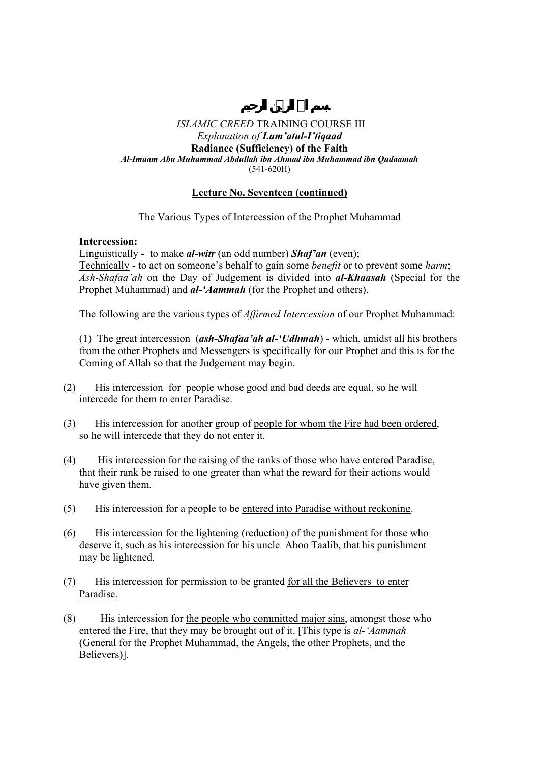## **Lecture No. Seventeen (continued)**

The Various Types of Intercession of the Prophet Muhammad

## **Intercession:**

Linguistically - to make *al-witr* (an odd number) *Shaf'an* (even); Technically - to act on someone's behalf to gain some *benefit* or to prevent some *harm*; *Ash-Shafaa'ah* on the Day of Judgement is divided into *al-Khaasah* (Special for the Prophet Muhammad) and *al-'Aammah* (for the Prophet and others).

The following are the various types of *Affirmed Intercession* of our Prophet Muhammad:

 (1) The great intercession (*ash-Shafaa'ah al-'Udhmah*) - which, amidst all his brothers from the other Prophets and Messengers is specifically for our Prophet and this is for the Coming of Allah so that the Judgement may begin.

- (2) His intercession for people whose good and bad deeds are equal, so he will intercede for them to enter Paradise.
- (3) His intercession for another group of people for whom the Fire had been ordered, so he will intercede that they do not enter it.
- (4) His intercession for the raising of the ranks of those who have entered Paradise, that their rank be raised to one greater than what the reward for their actions would have given them.
- (5) His intercession for a people to be entered into Paradise without reckoning.
- (6) His intercession for the lightening (reduction) of the punishment for those who deserve it, such as his intercession for his uncle Aboo Taalib, that his punishment may be lightened.
- (7) His intercession for permission to be granted for all the Believers to enter Paradise.
- (8) His intercession for the people who committed major sins, amongst those who entered the Fire, that they may be brought out of it. [This type is *al-'Aammah* (General for the Prophet Muhammad, the Angels, the other Prophets, and the Believers)].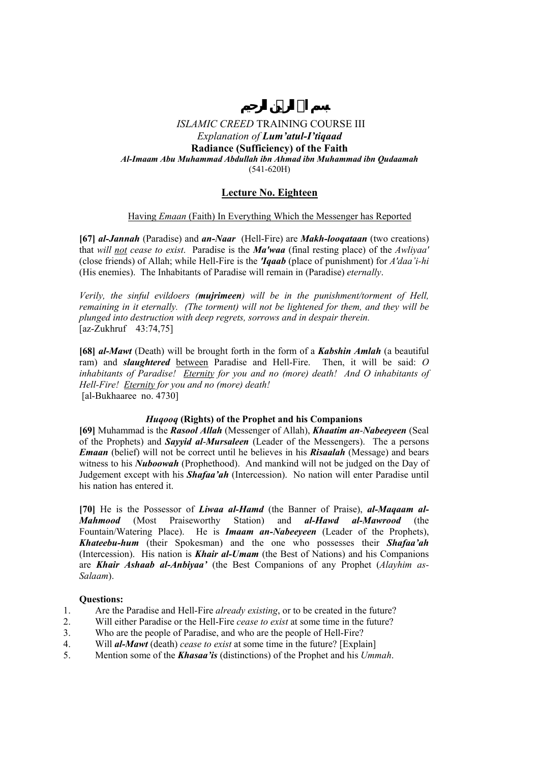## **Lecture No. Eighteen**

### Having *Emaan* (Faith) In Everything Which the Messenger has Reported

**[67]** *al-Jannah* (Paradise) and *an-Naar* (Hell-Fire) are *Makh-looqataan* (two creations) that *will not cease to exist*. Paradise is the *Ma'waa* (final resting place) of the *Awliyaa'*  (close friends) of Allah; while Hell-Fire is the *'Iqaab* (place of punishment) for *A'daa'i-hi*  (His enemies). The Inhabitants of Paradise will remain in (Paradise) *eternally*.

*Verily, the sinful evildoers (mujrimeen) will be in the punishment/torment of Hell, remaining in it eternally. (The torment) will not be lightened for them, and they will be plunged into destruction with deep regrets, sorrows and in despair therein.*  [az-Zukhruf 43:74,75]

**[68]** *al***-***Mawt* (Death) will be brought forth in the form of a *Kabshin Amlah* (a beautiful ram) and *slaughtered* between Paradise and Hell-Fire. Then, it will be said: *O inhabitants of Paradise! Eternity for you and no (more) death! And O inhabitants of Hell-Fire! Eternity for you and no (more) death!*  [al-Bukhaaree no. 4730]

### *Huqooq* **(Rights) of the Prophet and his Companions**

**[69]** Muhammad is the *Rasool Allah* (Messenger of Allah), *Khaatim an*-*Nabeeyeen* (Seal of the Prophets) and *Sayyid al*-*Mursaleen* (Leader of the Messengers). The a persons *Emaan* (belief) will not be correct until he believes in his *Risaalah* (Message) and bears witness to his *Nuboowah* (Prophethood). And mankind will not be judged on the Day of Judgement except with his *Shafaa'ah* (Intercession). No nation will enter Paradise until his nation has entered it.

**[70]** He is the Possessor of *Liwaa al-Hamd* (the Banner of Praise), *al-Maqaam al-Mahmood* (Most Praiseworthy Station) and *al-Hawd al-Mawrood* (the Fountain/Watering Place). He is *Imaam an-Nabeeyeen* (Leader of the Prophets), *Khateebu-hum* (their Spokesman) and the one who possesses their *Shafaa'ah*  (Intercession). His nation is *Khair al-Umam* (the Best of Nations) and his Companions are *Khair Ashaab al-Anbiyaa'* (the Best Companions of any Prophet (*Alayhim as-Salaam*).

- 1. Are the Paradise and Hell-Fire *already existing*, or to be created in the future?
- 2. Will either Paradise or the Hell-Fire *cease to exist* at some time in the future?
- 3. Who are the people of Paradise, and who are the people of Hell-Fire?
- 4. Will *al-Mawt* (death) *cease to exist* at some time in the future? [Explain]
- 5. Mention some of the *Khasaa'is* (distinctions) of the Prophet and his *Ummah*.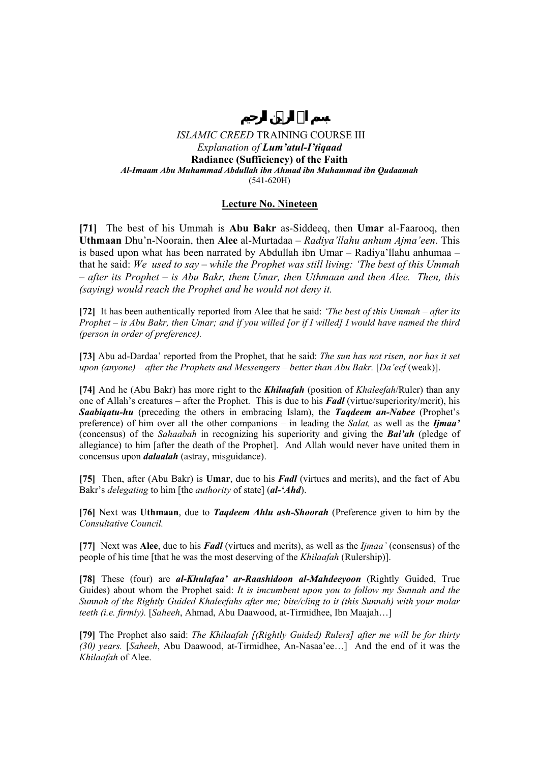## **Lecture No. Nineteen**

**[71]** The best of his Ummah is **Abu Bakr** as-Siddeeq, then **Umar** al-Faarooq, then **Uthmaan** Dhu'n-Noorain, then **Alee** al-Murtadaa – *Radiya'llahu anhum Ajma'een*. This is based upon what has been narrated by Abdullah ibn Umar – Radiya'llahu anhumaa – that he said: *We used to say – while the Prophet was still living: 'The best of this Ummah – after its Prophet – is Abu Bakr, them Umar, then Uthmaan and then Alee. Then, this (saying) would reach the Prophet and he would not deny it.* 

**[72]** It has been authentically reported from Alee that he said: *'The best of this Ummah – after its Prophet – is Abu Bakr, then Umar; and if you willed [or if I willed] I would have named the third (person in order of preference).* 

**[73]** Abu ad-Dardaa' reported from the Prophet, that he said: *The sun has not risen, nor has it set upon (anyone) – after the Prophets and Messengers – better than Abu Bakr. [Da'eef (weak)].* 

**[74]** And he (Abu Bakr) has more right to the *Khilaafah* (position of *Khaleefah*/Ruler) than any one of Allah's creatures – after the Prophet. This is due to his *Fadl* (virtue/superiority/merit), his *Saabiqatu-hu* (preceding the others in embracing Islam), the *Taqdeem an-Nabee* (Prophet's preference) of him over all the other companions – in leading the *Salat,* as well as the *Ijmaa'* (concensus) of the *Sahaabah* in recognizing his superiority and giving the *Bai'ah* (pledge of allegiance) to him [after the death of the Prophet]. And Allah would never have united them in concensus upon *dalaalah* (astray, misguidance).

**[75]** Then, after (Abu Bakr) is **Umar**, due to his *Fadl* (virtues and merits), and the fact of Abu Bakr's *delegating* to him [the *authority* of state] (*al-'Ahd*).

**[76]** Next was **Uthmaan**, due to *Taqdeem Ahlu ash-Shoorah* (Preference given to him by the *Consultative Council.*

**[77]** Next was **Alee**, due to his *Fadl* (virtues and merits), as well as the *Ijmaa'* (consensus) of the people of his time [that he was the most deserving of the *Khilaafah* (Rulership)].

**[78]** These (four) are *al-Khulafaa' ar-Raashidoon al-Mahdeeyoon* (Rightly Guided, True Guides) about whom the Prophet said: *It is imcumbent upon you to follow my Sunnah and the Sunnah of the Rightly Guided Khaleefahs after me; bite/cling to it (this Sunnah) with your molar teeth (i.e. firmly).* [*Saheeh*, Ahmad, Abu Daawood, at-Tirmidhee, Ibn Maajah…]

**[79]** The Prophet also said: *The Khilaafah [(Rightly Guided) Rulers] after me will be for thirty (30) years.* [*Saheeh*, Abu Daawood, at-Tirmidhee, An-Nasaa'ee…] And the end of it was the *Khilaafah* of Alee.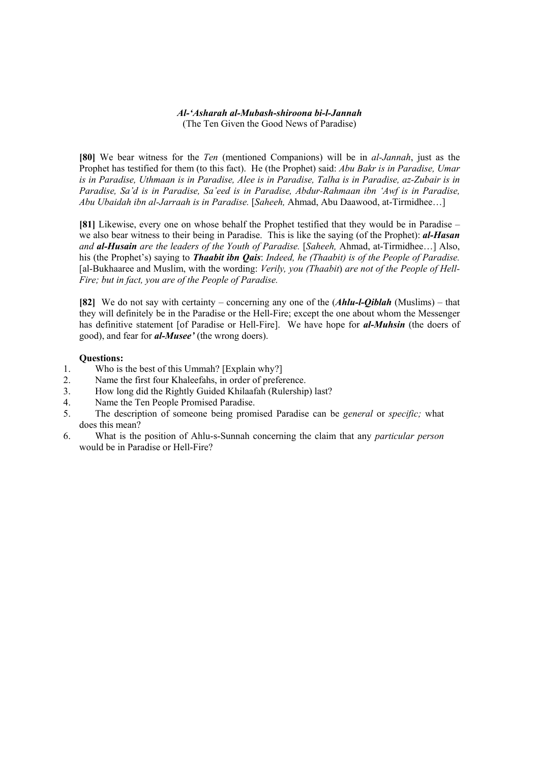#### *Al-'Asharah al-Mubash-shiroona bi-l-Jannah*  (The Ten Given the Good News of Paradise)

**[80]** We bear witness for the *Ten* (mentioned Companions) will be in *al-Jannah*, just as the Prophet has testified for them (to this fact). He (the Prophet) said: *Abu Bakr is in Paradise, Umar is in Paradise, Uthmaan is in Paradise, Alee is in Paradise, Talha is in Paradise, az-Zubair is in Paradise, Sa'd is in Paradise, Sa'eed is in Paradise, Abdur-Rahmaan ibn 'Awf is in Paradise, Abu Ubaidah ibn al-Jarraah is in Paradise.* [*Saheeh,* Ahmad, Abu Daawood, at-Tirmidhee…]

**[81]** Likewise, every one on whose behalf the Prophet testified that they would be in Paradise – we also bear witness to their being in Paradise. This is like the saying (of the Prophet): *al-Hasan and al-Husain are the leaders of the Youth of Paradise.* [*Saheeh,* Ahmad, at-Tirmidhee…] Also, his (the Prophet's) saying to *Thaabit ibn Qais*: *Indeed, he (Thaabit) is of the People of Paradise.* [al-Bukhaaree and Muslim, with the wording: *Verily, you (Thaabit*) *are not of the People of Hell-Fire; but in fact, you are of the People of Paradise.* 

**[82]** We do not say with certainty – concerning any one of the (*Ahlu-l-Qiblah* (Muslims) – that they will definitely be in the Paradise or the Hell-Fire; except the one about whom the Messenger has definitive statement [of Paradise or Hell-Fire]. We have hope for *al-Muhsin* (the doers of good), and fear for *al-Musee'* (the wrong doers).

- 1. Who is the best of this Ummah? [Explain why?]
- 2. Name the first four Khaleefahs, in order of preference.
- 3. How long did the Rightly Guided Khilaafah (Rulership) last?
- 4. Name the Ten People Promised Paradise.
- 5. The description of someone being promised Paradise can be *general* or *specific;* what does this mean?
- 6. What is the position of Ahlu-s-Sunnah concerning the claim that any *particular person* would be in Paradise or Hell-Fire?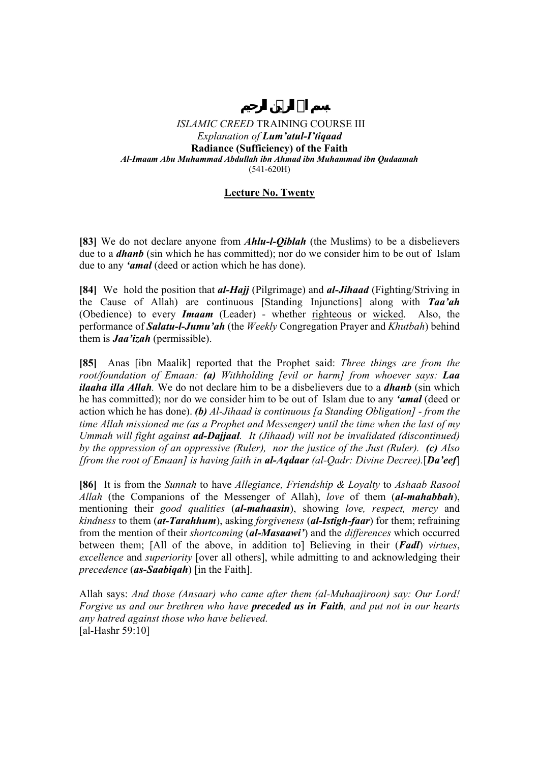## **Lecture No. Twenty**

**[83]** We do not declare anyone from *Ahlu-l-Qiblah* (the Muslims) to be a disbelievers due to a *dhanb* (sin which he has committed); nor do we consider him to be out of Islam due to any *'amal* (deed or action which he has done).

**[84]** We hold the position that *al-Hajj* (Pilgrimage) and *al-Jihaad* (Fighting/Striving in the Cause of Allah) are continuous [Standing Injunctions] along with *Taa'ah*  (Obedience) to every *Imaam* (Leader) - whether righteous or wicked. Also, the performance of *Salatu-l-Jumu'ah* (the *Weekly* Congregation Prayer and *Khutbah*) behind them is *Jaa'izah* (permissible).

**[85]** Anas [ibn Maalik] reported that the Prophet said: *Three things are from the root/foundation of Emaan: (a) Withholding [evil or harm] from whoever says: Laa ilaaha illa Allah.* We do not declare him to be a disbelievers due to a *dhanb* (sin which he has committed); nor do we consider him to be out of Islam due to any *'amal* (deed or action which he has done). *(b) Al-Jihaad is continuous [a Standing Obligation] - from the time Allah missioned me (as a Prophet and Messenger) until the time when the last of my Ummah will fight against ad-Dajjaal. It (Jihaad) will not be invalidated (discontinued) by the oppression of an oppressive (Ruler), nor the justice of the Just (Ruler). (c) Also [from the root of Emaan] is having faith in al-Aqdaar (al-Qadr: Divine Decree).*[*Da'eef*]

**[86]** It is from the *Sunnah* to have *Allegiance, Friendship & Loyalty* to *Ashaab Rasool Allah* (the Companions of the Messenger of Allah), *love* of them (*al-mahabbah*), mentioning their *good qualities* (*al-mahaasin*), showing *love, respect, mercy* and *kindness* to them (*at-Tarahhum*), asking *forgiveness* (*al-Istigh-faar*) for them; refraining from the mention of their *shortcoming* (*al-Masaawi'*) and the *differences* which occurred between them; [All of the above, in addition to] Believing in their (*Fadl*) *virtues*, *excellence* and *superiority* [over all others], while admitting to and acknowledging their *precedence* (*as-Saabiqah*) [in the Faith].

Allah says: *And those (Ansaar) who came after them (al-Muhaajiroon) say: Our Lord! Forgive us and our brethren who have preceded us in Faith, and put not in our hearts any hatred against those who have believed.* [al-Hashr 59:10]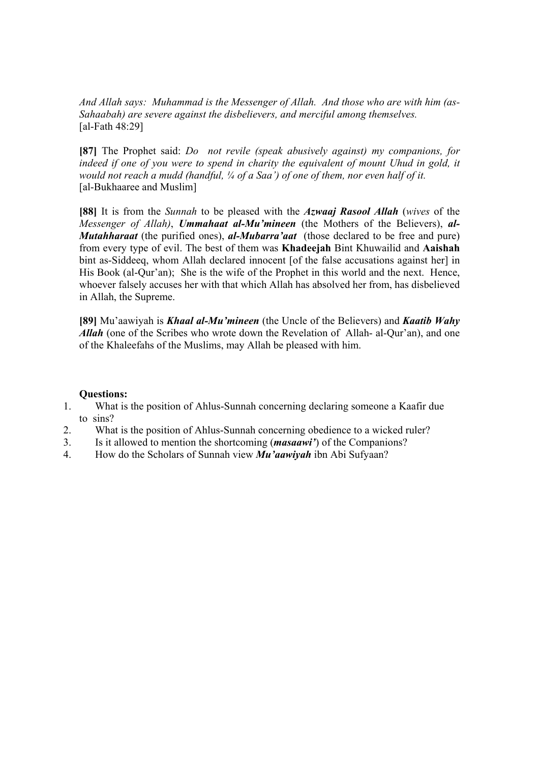*And Allah says: Muhammad is the Messenger of Allah. And those who are with him (as-Sahaabah) are severe against the disbelievers, and merciful among themselves.*  [al-Fath 48:29]

**[87]** The Prophet said: *Do not revile (speak abusively against) my companions, for*  indeed if one of you were to spend in charity the equivalent of mount Uhud in gold, it *would not reach a mudd (handful, ¼ of a Saa') of one of them, nor even half of it.*  [al-Bukhaaree and Muslim]

**[88]** It is from the *Sunnah* to be pleased with the *Azwaaj Rasool Allah* (*wives* of the *Messenger of Allah)*, *Ummahaat al-Mu'mineen* (the Mothers of the Believers), *al-Mutahharaat* (the purified ones), *al-Mubarra'aat* (those declared to be free and pure) from every type of evil. The best of them was **Khadeejah** Bint Khuwailid and **Aaishah** bint as-Siddeeq, whom Allah declared innocent [of the false accusations against her] in His Book (al-Qur'an); She is the wife of the Prophet in this world and the next. Hence, whoever falsely accuses her with that which Allah has absolved her from, has disbelieved in Allah, the Supreme.

**[89]** Mu'aawiyah is *Khaal al-Mu'mineen* (the Uncle of the Believers) and *Kaatib Wahy Allah* (one of the Scribes who wrote down the Revelation of Allah- al-Qur'an), and one of the Khaleefahs of the Muslims, may Allah be pleased with him.

- 1. What is the position of Ahlus-Sunnah concerning declaring someone a Kaafir due to sins?
- 2. What is the position of Ahlus-Sunnah concerning obedience to a wicked ruler?
- 3. Is it allowed to mention the shortcoming (*masaawi'*) of the Companions?
- 4. How do the Scholars of Sunnah view *Mu'aawiyah* ibn Abi Sufyaan?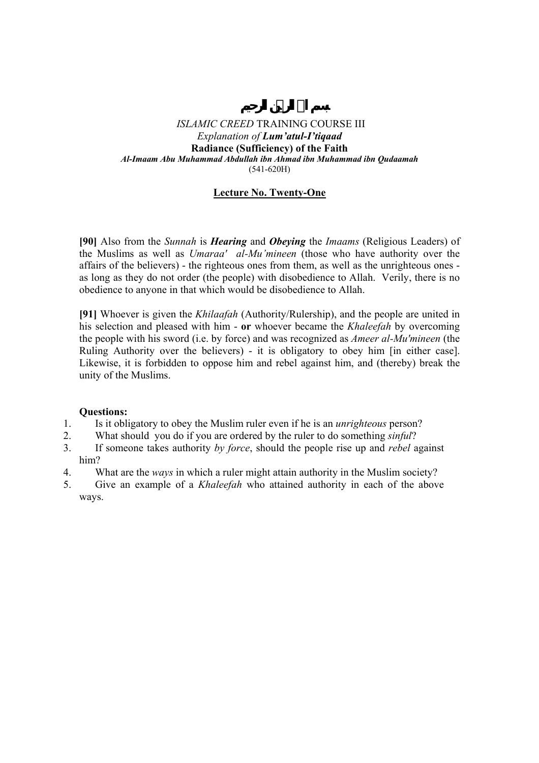## **Lecture No. Twenty-One**

**[90]** Also from the *Sunnah* is *Hearing* and *Obeying* the *Imaams* (Religious Leaders) of the Muslims as well as *Umaraa' al-Mu'mineen* (those who have authority over the affairs of the believers) - the righteous ones from them, as well as the unrighteous ones as long as they do not order (the people) with disobedience to Allah. Verily, there is no obedience to anyone in that which would be disobedience to Allah.

**[91]** Whoever is given the *Khilaafah* (Authority/Rulership), and the people are united in his selection and pleased with him - **or** whoever became the *Khaleefah* by overcoming the people with his sword (i.e. by force) and was recognized as *Ameer al-Mu'mineen* (the Ruling Authority over the believers) - it is obligatory to obey him [in either case]. Likewise, it is forbidden to oppose him and rebel against him, and (thereby) break the unity of the Muslims.

- 1. Is it obligatory to obey the Muslim ruler even if he is an *unrighteous* person?
- 2. What should you do if you are ordered by the ruler to do something *sinful*?
- 3. If someone takes authority *by force*, should the people rise up and *rebel* against him?
- 4. What are the *ways* in which a ruler might attain authority in the Muslim society?
- 5. Give an example of a *Khaleefah* who attained authority in each of the above ways.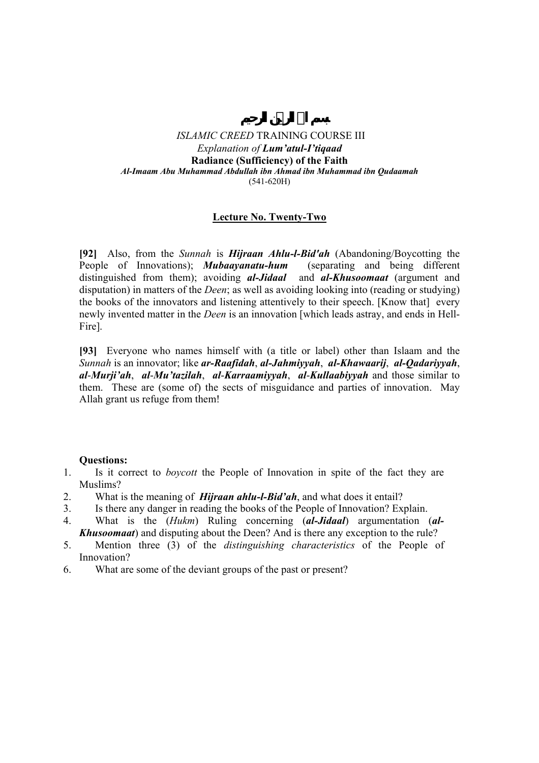# **Lecture No. Twenty-Two**

**[92]** Also, from the *Sunnah* is *Hijraan Ahlu-l-Bid'ah* (Abandoning/Boycotting the People of Innovations); *Mubaayanatu-hum* (separating and being different distinguished from them); avoiding *al-Jidaal* and *al-Khusoomaat* (argument and disputation) in matters of the *Deen*; as well as avoiding looking into (reading or studying) the books of the innovators and listening attentively to their speech. [Know that] every newly invented matter in the *Deen* is an innovation [which leads astray, and ends in Hell-Fire].

**[93]** Everyone who names himself with (a title or label) other than Islaam and the *Sunnah* is an innovator; like *ar-Raafidah*, *al-Jahmiyyah*, *al-Khawaarij*, *al-Qadariyyah*, *al*-*Murji'ah*, *al*-*Mu'tazilah*, *al*-*Karraamiyyah*, *al*-*Kullaabiyyah* and those similar to them. These are (some of) the sects of misguidance and parties of innovation. May Allah grant us refuge from them!

- 1. Is it correct to *boycott* the People of Innovation in spite of the fact they are Muslims?
- 2. What is the meaning of *Hijraan ahlu-l-Bid'ah*, and what does it entail?
- 3. Is there any danger in reading the books of the People of Innovation? Explain.
- 4. What is the (*Hukm*) Ruling concerning (*al-Jidaal*) argumentation (*al-Khusoomaat*) and disputing about the Deen? And is there any exception to the rule?
- 5. Mention three (3) of the *distinguishing characteristics* of the People of Innovation?
- 6. What are some of the deviant groups of the past or present?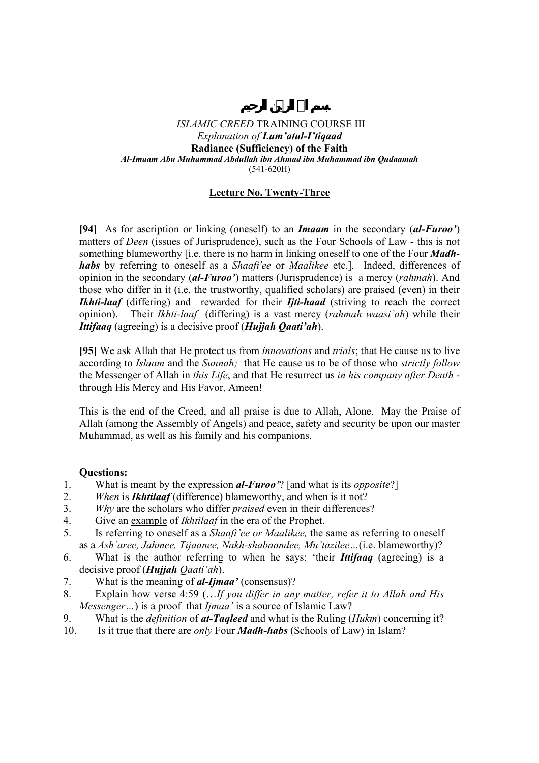# **Lecture No. Twenty-Three**

**[94]** As for ascription or linking (oneself) to an *Imaam* in the secondary (*al-Furoo'*) matters of *Deen* (issues of Jurisprudence), such as the Four Schools of Law - this is not something blameworthy [i.e. there is no harm in linking oneself to one of the Four *Madhhabs* by referring to oneself as a *Shaafi'ee* or *Maalikee* etc.]. Indeed, differences of opinion in the secondary (*al-Furoo'*) matters (Jurisprudence) is a mercy (*rahmah*). And those who differ in it (i.e. the trustworthy, qualified scholars) are praised (even) in their *Ikhti-laaf* (differing) and rewarded for their *Ijti-haad* (striving to reach the correct opinion). Their *Ikhti-laaf* (differing) is a vast mercy (*rahmah waasi'ah*) while their *Ittifaaq* (agreeing) is a decisive proof (*Hujjah Qaati'ah*).

**[95]** We ask Allah that He protect us from *innovations* and *trials*; that He cause us to live according to *Islaam* and the *Sunnah;* that He cause us to be of those who *strictly follow* the Messenger of Allah in *this Life*, and that He resurrect us *in his company after Death* through His Mercy and His Favor, Ameen!

This is the end of the Creed, and all praise is due to Allah, Alone. May the Praise of Allah (among the Assembly of Angels) and peace, safety and security be upon our master Muhammad, as well as his family and his companions.

- 1. What is meant by the expression *al-Furoo'*? [and what is its *opposite*?]
- 2. *When* is *Ikhtilaaf* (difference) blameworthy, and when is it not?
- 3. *Why* are the scholars who differ *praised* even in their differences?
- 4. Give an example of *Ikhtilaaf* in the era of the Prophet.
- 5. Is referring to oneself as a *Shaafi'ee or Maalikee,* the same as referring to oneself as a *Ash'aree, Jahmee, Tijaanee, Nakh-shabaandee, Mu'tazilee…*(i.e. blameworthy)?
- 6. What is the author referring to when he says: 'their *Ittifaaq* (agreeing) is a decisive proof (*Hujjah Qaati'ah*).
- 7. What is the meaning of *al-Ijmaa'* (consensus)?
- 8. Explain how verse 4:59 (…*If you differ in any matter, refer it to Allah and His Messenger…*) is a proof that *Ijmaa'* is a source of Islamic Law?
- 9. What is the *definition* of *at-Taqleed* and what is the Ruling (*Hukm*) concerning it?
- 10. Is it true that there are *only* Four *Madh-habs* (Schools of Law) in Islam?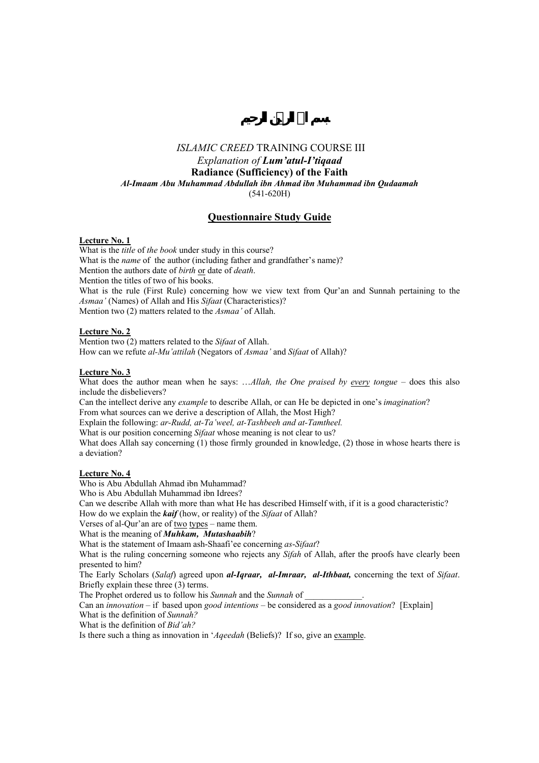### *ISLAMIC CREED* TRAINING COURSE III

*Explanation of Lum'atul-I'tiqaad*

**Radiance (Sufficiency) of the Faith** 

*Al-Imaam Abu Muhammad Abdullah ibn Ahmad ibn Muhammad ibn Qudaamah* 

(541-620H)

## **Questionnaire Study Guide**

#### **Lecture No. 1**

What is the *title* of *the book* under study in this course? What is the *name* of the author (including father and grandfather's name)? Mention the authors date of *birth* or date of *death*. Mention the titles of two of his books. What is the rule (First Rule) concerning how we view text from Qur'an and Sunnah pertaining to the *Asmaa'* (Names) of Allah and His *Sifaat* (Characteristics)? Mention two (2) matters related to the *Asmaa'* of Allah.

### **Lecture No. 2**

Mention two (2) matters related to the *Sifaat* of Allah. How can we refute *al-Mu'attilah* (Negators of *Asmaa'* and *Sifaat* of Allah)?

#### **Lecture No. 3**

What does the author mean when he says: …*Allah, the One praised by every tongue* – does this also include the disbelievers?

Can the intellect derive any *example* to describe Allah, or can He be depicted in one's *imagination*? From what sources can we derive a description of Allah, the Most High?

Explain the following: *ar-Rudd, at-Ta'weel, at-Tashbeeh and at-Tamtheel.* 

What is our position concerning *Sifaat* whose meaning is not clear to us?

What does Allah say concerning (1) those firmly grounded in knowledge, (2) those in whose hearts there is a deviation?

### **Lecture No. 4**

Who is Abu Abdullah Ahmad ibn Muhammad?

Who is Abu Abdullah Muhammad ibn Idrees?

Can we describe Allah with more than what He has described Himself with, if it is a good characteristic? How do we explain the *kaif* (how, or reality) of the *Sifaat* of Allah?

Verses of al-Qur'an are of two types – name them.

What is the meaning of *Muhkam, Mutashaabih*?

What is the statement of Imaam ash-Shaafi'ee concerning *as*-*Sifaat*?

What is the ruling concerning someone who rejects any *Sifah* of Allah, after the proofs have clearly been presented to him?

The Early Scholars (*Salaf*) agreed upon *al-Iqraar, al-Imraar, al-Ithbaat,* concerning the text of *Sifaat*. Briefly explain these three (3) terms.

The Prophet ordered us to follow his *Sunnah* and the *Sunnah* of

Can an *innovation* – if based upon *good intentions* – be considered as a *good innovation*? [Explain] What is the definition of *Sunnah?* 

What is the definition of *Bid'ah?* 

Is there such a thing as innovation in '*Aqeedah* (Beliefs)? If so, give an example.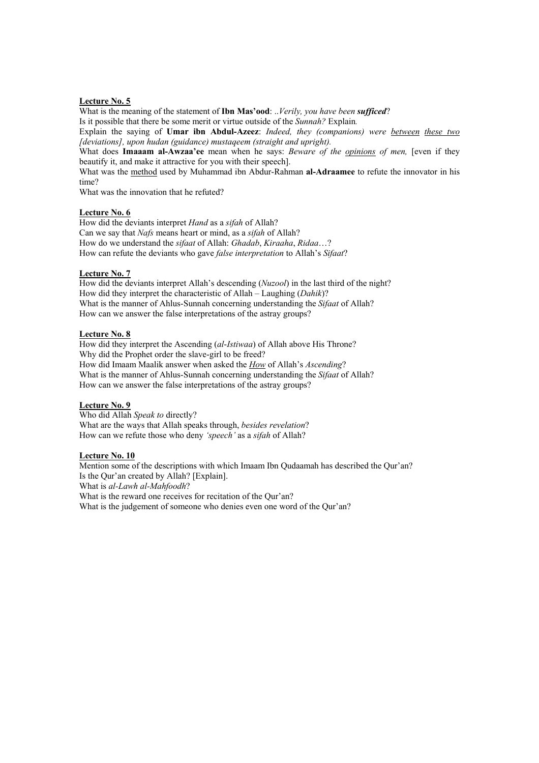What is the meaning of the statement of **Ibn Mas'ood**: ..*Verily, you have been sufficed*?

Is it possible that there be some merit or virtue outside of the *Sunnah?* Explain*.* 

Explain the saying of **Umar ibn Abdul-Azeez**: *Indeed, they (companions) were between these two [deviations], upon hudan (guidance) mustaqeem (straight and upright).* 

What does **Imaaam al-Awzaa'ee** mean when he says: *Beware of the opinions of men,* [even if they beautify it, and make it attractive for you with their speech].

What was the method used by Muhammad ibn Abdur-Rahman **al-Adraamee** to refute the innovator in his time?

What was the innovation that he refuted?

### **Lecture No. 6**

How did the deviants interpret *Hand* as a *sifah* of Allah? Can we say that *Nafs* means heart or mind, as a *sifah* of Allah? How do we understand the *sifaat* of Allah: *Ghadab*, *Kiraaha*, *Ridaa*…? How can refute the deviants who gave *false interpretation* to Allah's *Sifaat*?

#### **Lecture No. 7**

How did the deviants interpret Allah's descending (*Nuzool*) in the last third of the night? How did they interpret the characteristic of Allah – Laughing (*Dahik*)? What is the manner of Ahlus-Sunnah concerning understanding the *Sifaat* of Allah? How can we answer the false interpretations of the astray groups?

## **Lecture No. 8**

How did they interpret the Ascending (*al*-*Istiwaa*) of Allah above His Throne? Why did the Prophet order the slave-girl to be freed? How did Imaam Maalik answer when asked the *How* of Allah's *Ascending*? What is the manner of Ahlus-Sunnah concerning understanding the *Sifaat* of Allah? How can we answer the false interpretations of the astray groups?

### **Lecture No. 9**

Who did Allah *Speak to* directly? What are the ways that Allah speaks through, *besides revelation*? How can we refute those who deny *'speech'* as a *sifah* of Allah?

## **Lecture No. 10**

Mention some of the descriptions with which Imaam Ibn Qudaamah has described the Qur'an? Is the Qur'an created by Allah? [Explain]. What is *al-Lawh al-Mahfoodh*? What is the reward one receives for recitation of the Qur'an? What is the judgement of someone who denies even one word of the Qur'an?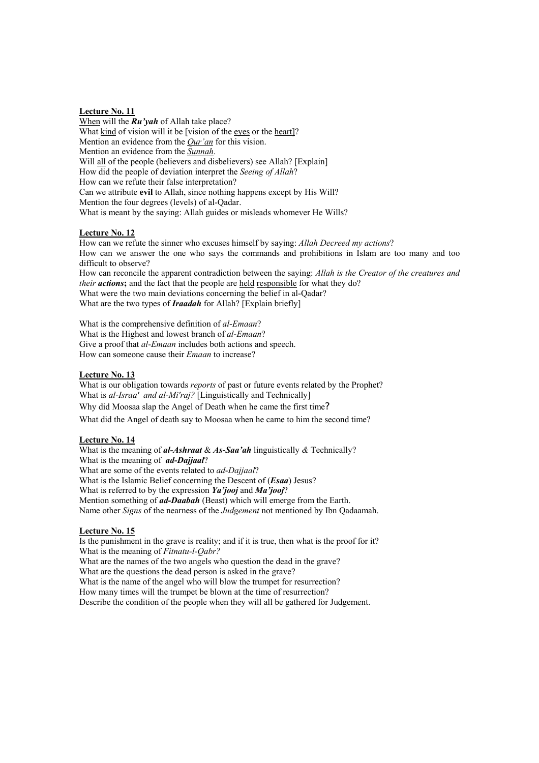When will the *Ru'yah* of Allah take place? What kind of vision will it be [vision of the eyes or the heart]? Mention an evidence from the *Qur'an* for this vision. Mention an evidence from the *Sunnah*. Will all of the people (believers and disbelievers) see Allah? [Explain] How did the people of deviation interpret the *Seeing of Allah*? How can we refute their false interpretation? Can we attribute **evil** to Allah, since nothing happens except by His Will? Mention the four degrees (levels) of al-Qadar. What is meant by the saying: Allah guides or misleads whomever He Wills?

#### **Lecture No. 12**

How can we refute the sinner who excuses himself by saying: *Allah Decreed my actions*? How can we answer the one who says the commands and prohibitions in Islam are too many and too difficult to observe?

How can reconcile the apparent contradiction between the saying: *Allah is the Creator of the creatures and their actions*; and the fact that the people are held responsible for what they do?

What were the two main deviations concerning the belief in al-Oadar? What are the two types of *Iraadah* for Allah? [Explain briefly]

What is the comprehensive definition of *al*-*Emaan*? What is the Highest and lowest branch of *al*-*Emaan*? Give a proof that *al*-*Emaan* includes both actions and speech. How can someone cause their *Emaan* to increase?

### **Lecture No. 13**

What is our obligation towards *reports* of past or future events related by the Prophet? What is *al-Israa' and al-Mi'raj?* [Linguistically and Technically] Why did Moosaa slap the Angel of Death when he came the first time? What did the Angel of death say to Moosaa when he came to him the second time?

#### **Lecture No. 14**

What is the meaning of *al-Ashraat* & *As***-***Saa'ah* linguistically *&* Technically? What is the meaning of *ad-Dajjaal*? What are some of the events related to *ad*-*Dajjaal*? What is the Islamic Belief concerning the Descent of (*Esaa*) Jesus? What is referred to by the expression *Ya'jooj* and *Ma'jooj*? Mention something of *ad-Daabah* (Beast) which will emerge from the Earth. Name other *Signs* of the nearness of the *Judgement* not mentioned by Ibn Qadaamah.

#### **Lecture No. 15**

Is the punishment in the grave is reality; and if it is true, then what is the proof for it? What is the meaning of *Fitnatu-l-Qabr?* What are the names of the two angels who question the dead in the grave? What are the questions the dead person is asked in the grave? What is the name of the angel who will blow the trumpet for resurrection? How many times will the trumpet be blown at the time of resurrection? Describe the condition of the people when they will all be gathered for Judgement.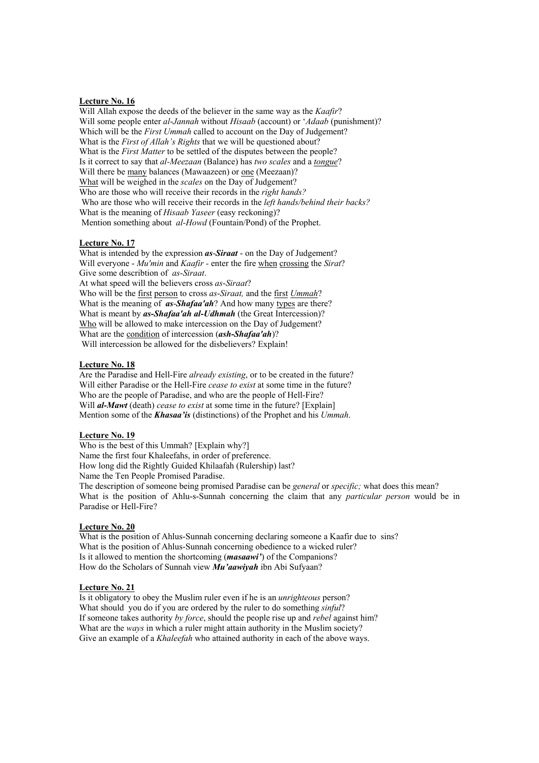Will Allah expose the deeds of the believer in the same way as the *Kaafir*? Will some people enter *al*-*Jannah* without *Hisaab* (account) or '*Adaab* (punishment)? Which will be the *First Ummah* called to account on the Day of Judgement? What is the *First of Allah's Rights* that we will be questioned about? What is the *First Matter* to be settled of the disputes between the people? Is it correct to say that *al-Meezaan* (Balance) has *two scales* and a *tongue*? Will there be many balances (Mawaazeen) or one (Meezaan)? What will be weighed in the *scales* on the Day of Judgement? Who are those who will receive their records in the *right hands?* Who are those who will receive their records in the *left hands/behind their backs?* What is the meaning of *Hisaab Yaseer* (easy reckoning)? Mention something about *al-Howd* (Fountain/Pond) of the Prophet.

#### **Lecture No. 17**

What is intended by the expression *as*-*Siraat* - on the Day of Judgement? Will everyone - *Mu'min* and *Kaafir -* enter the fire when crossing the *Sirat*? Give some describtion of *as*-*Siraat*. At what speed will the believers cross *as*-*Siraat*? Who will be the first person to cross *as*-*Siraat,* and the first *Ummah*? What is the meaning of *as*-*Shafaa'ah*? And how many types are there? What is meant by *as-Shafaa'ah al-Udhmah* (the Great Intercession)? Who will be allowed to make intercession on the Day of Judgement? What are the condition of intercession (*ash-Shafaa'ah*)? Will intercession be allowed for the disbelievers? Explain!

#### **Lecture No. 18**

Are the Paradise and Hell-Fire *already existing*, or to be created in the future? Will either Paradise or the Hell-Fire *cease to exist* at some time in the future? Who are the people of Paradise, and who are the people of Hell-Fire? Will *al-Mawt* (death) *cease to exist* at some time in the future? [Explain] Mention some of the *Khasaa'is* (distinctions) of the Prophet and his *Ummah*.

### **Lecture No. 19**

Who is the best of this Ummah? [Explain why?] Name the first four Khaleefahs, in order of preference. How long did the Rightly Guided Khilaafah (Rulership) last? Name the Ten People Promised Paradise. The description of someone being promised Paradise can be *general* or *specific;* what does this mean? What is the position of Ahlu-s-Sunnah concerning the claim that any *particular person* would be in Paradise or Hell-Fire?

#### **Lecture No. 20**

What is the position of Ahlus-Sunnah concerning declaring someone a Kaafir due to sins? What is the position of Ahlus-Sunnah concerning obedience to a wicked ruler? Is it allowed to mention the shortcoming (*masaawi'*) of the Companions? How do the Scholars of Sunnah view *Mu'aawiyah* ibn Abi Sufyaan?

#### **Lecture No. 21**

Is it obligatory to obey the Muslim ruler even if he is an *unrighteous* person? What should you do if you are ordered by the ruler to do something *sinful*? If someone takes authority *by force*, should the people rise up and *rebel* against him? What are the *ways* in which a ruler might attain authority in the Muslim society? Give an example of a *Khaleefah* who attained authority in each of the above ways.